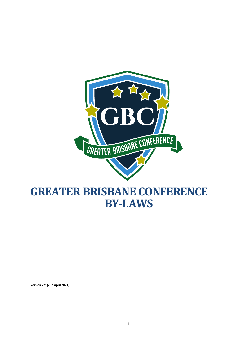

# **GREATER BRISBANE CONFERENCE BY-LAWS**

**Version 22: (26th April 2021)**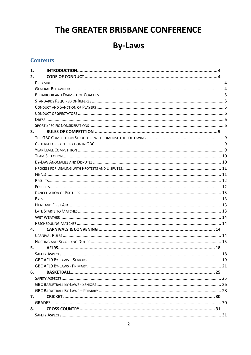# The GREATER BRISBANE CONFERENCE

# **By-Laws**

# **Contents**

| 1.           |  |  |  |  |  |
|--------------|--|--|--|--|--|
| 2.           |  |  |  |  |  |
|              |  |  |  |  |  |
|              |  |  |  |  |  |
|              |  |  |  |  |  |
|              |  |  |  |  |  |
|              |  |  |  |  |  |
|              |  |  |  |  |  |
|              |  |  |  |  |  |
|              |  |  |  |  |  |
| 3.           |  |  |  |  |  |
|              |  |  |  |  |  |
|              |  |  |  |  |  |
|              |  |  |  |  |  |
|              |  |  |  |  |  |
|              |  |  |  |  |  |
|              |  |  |  |  |  |
|              |  |  |  |  |  |
|              |  |  |  |  |  |
|              |  |  |  |  |  |
|              |  |  |  |  |  |
|              |  |  |  |  |  |
|              |  |  |  |  |  |
|              |  |  |  |  |  |
|              |  |  |  |  |  |
|              |  |  |  |  |  |
| $\mathbf{4}$ |  |  |  |  |  |
|              |  |  |  |  |  |
|              |  |  |  |  |  |
| 5.           |  |  |  |  |  |
|              |  |  |  |  |  |
|              |  |  |  |  |  |
|              |  |  |  |  |  |
| 6.           |  |  |  |  |  |
|              |  |  |  |  |  |
|              |  |  |  |  |  |
|              |  |  |  |  |  |
| 7.           |  |  |  |  |  |
|              |  |  |  |  |  |
| 8.           |  |  |  |  |  |
|              |  |  |  |  |  |
|              |  |  |  |  |  |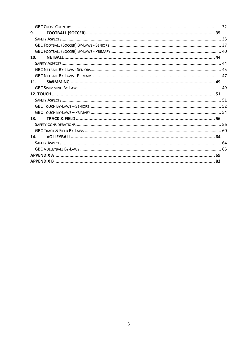| 9.  |  |  |
|-----|--|--|
|     |  |  |
|     |  |  |
|     |  |  |
| 10. |  |  |
|     |  |  |
|     |  |  |
|     |  |  |
| 11. |  |  |
|     |  |  |
|     |  |  |
|     |  |  |
|     |  |  |
|     |  |  |
| 13. |  |  |
|     |  |  |
|     |  |  |
| 14. |  |  |
|     |  |  |
|     |  |  |
|     |  |  |
|     |  |  |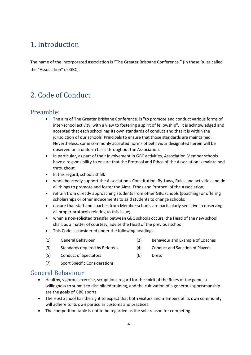# <span id="page-3-0"></span>1. Introduction

The name of the incorporated association is "The Greater Brisbane Conference." (In these Rules called the "Association" or GBC).

# <span id="page-3-1"></span>2. Code of Conduct

# <span id="page-3-2"></span>Preamble:

- The aim of The Greater Brisbane Conference. is "to promote and conduct various forms of inter-school activity, with a view to fostering a spirit of fellowship". It is acknowledged and accepted that each school has its own standards of conduct and that it is within the jurisdiction of our schools' Principals to ensure that those standards are maintained. Nevertheless, some commonly accepted norms of behaviour designated herein will be observed on a uniform basis throughout the Association.
- In particular, as part of their involvement in GBC activities, Association Member schools have a responsibility to ensure that the Protocol and Ethos of the Association is maintained throughout.
- In this regard, schools shall:
- wholeheartedly support the Association's Constitution, By-Laws, Rules and activities and do all things to promote and foster the Aims, Ethos and Protocol of the Association;
- refrain from directly approaching students from other GBC schools (poaching) or offering scholarships or other inducements to said students to change schools;
- ensure that staff and coaches from Member schools are particularly sensitive in observing all proper protocols relating to this issue;
- when a non-solicited transfer between GBC schools occurs, the Head of the new school shall, as a matter of courtesy, advise the Head of the previous school.
- This Code is considered under the following headings:
- (1) General Behaviour (2) Behaviour and Example of Coaches
- (3) Standards required by Referees (4) Conduct and Sanction of Players
- (5) Conduct of Spectators (6) Dress
- (7) Sport Specific Considerations

## <span id="page-3-3"></span>General Behaviour

- Healthy, vigorous exercise, scrupulous regard for the spirit of the Rules of the game, a willingness to submit to disciplined training, and the cultivation of a generous sportsmanship are the goals of GBC sports.
- The Host School has the right to expect that both visitors and members of its own community will adhere to its own particular customs and practices.
- The competition table is not to be regarded as the sole reason for competing.
- 
- 
-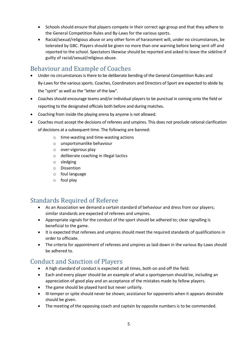- Schools should ensure that players compete in their correct age group and that they adhere to the General Competition Rules and By-Laws for the various sports.
- Racial/sexual/religious abuse or any other form of harassment will, under no circumstances, be tolerated by GBC. Players should be given no more than one warning before being sent off and reported to the school. Spectators likewise should be reported and asked to leave the sideline if guilty of racial/sexual/religious abuse.

# <span id="page-4-0"></span>Behaviour and Example of Coaches

- Under no circumstances is there to be deliberate bending of the General Competition Rules and By-Laws for the various sports. Coaches, Coordinators and Directors of Sport are expected to abide by the "spirit" as well as the "letter of the law".
- Coaches should encourage teams and/or individual players to be punctual in coming onto the field or reporting to the designated officials both before and during matches.
- Coaching from inside the playing arena by anyone is not allowed.
- Coaches must accept the decisions of referees and umpires. This does not preclude rational clarification of decisions at a subsequent time. The following are banned:
	- o time-wasting and time-wasting actions
	- o unsportsmanlike behaviour
	- o over-vigorous play
	- o deliberate coaching in illegal tactics
	- o sledging
	- o Dissention
	- o foul language
	- o foul play

# <span id="page-4-1"></span>Standards Required of Referee

- As an Association we demand a certain standard of behaviour and dress from our players; similar standards are expected of referees and umpires.
- Appropriate signals for the conduct of the sport should be adhered to; clear signalling is beneficial to the game.
- It is expected that referees and umpires should meet the required standards of qualifications in order to officiate.
- The criteria for appointment of referees and umpires as laid down in the various By-Laws should be adhered to.

# <span id="page-4-2"></span>Conduct and Sanction of Players

- A high standard of conduct is expected at all times, both on and off the field.
- Each and every player should be an example of what a sportsperson should be, including an appreciation of good play and an acceptance of the mistakes made by fellow players.
- The game should be played hard but never unfairly.
- Ill-temper or spite should never be shown; assistance for opponents when it appears desirable should be given.
- The meeting of the opposing coach and captain by opposite numbers is to be commended.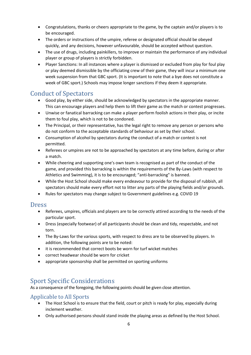- Congratulations, thanks or cheers appropriate to the game, by the captain and/or players is to be encouraged.
- The orders or instructions of the umpire, referee or designated official should be obeyed quickly, and any decisions, however unfavourable, should be accepted without question.
- The use of drugs, including painkillers, to improve or maintain the performance of any individual player or group of players is strictly forbidden.
- Player Sanctions: In all instances where a player is dismissed or excluded from play for foul play or play deemed dismissible by the officiating crew of their game, they will incur a minimum one week suspension from that GBC sport. (It is important to note that a bye does not constitute a week of GBC sport.) Schools may impose longer sanctions if they deem it appropriate.

# <span id="page-5-0"></span>Conduct of Spectators

- Good play, by either side, should be acknowledged by spectators in the appropriate manner. This can encourage players and help them to lift their game as the match or contest progresses.
- Unwise or fanatical barracking can make a player perform foolish actions in their play, or incite them to foul play, which is not to be condoned.
- The Principal, or their representative, has the legal right to remove any person or persons who do not conform to the acceptable standards of behaviour as set by their school.
- Consumption of alcohol by spectators during the conduct of a match or contest is not permitted.
- Referees or umpires are not to be approached by spectators at any time before, during or after a match.
- While cheering and supporting one's own team is recognised as part of the conduct of the game, and provided this barracking is within the requirements of the By-Laws (with respect to Athletics and Swimming), it is to be encouraged; "anti-barracking" is banned.
- While the Host School should make every endeavour to provide for the disposal of rubbish, all spectators should make every effort not to litter any parts of the playing fields and/or grounds.
- Rules for spectators may change subject to Government guidelines e.g. COVID 19

# <span id="page-5-1"></span>Dress

- Referees, umpires, officials and players are to be correctly attired according to the needs of the particular sport.
- Dress (especially footwear) of all participants should be clean and tidy, respectable, and not torn.
- The By-Laws for the various sports, with respect to dress are to be observed by players. In addition, the following points are to be noted:
- it is recommended that correct boots be worn for turf wicket matches
- correct headwear should be worn for cricket
- appropriate sponsorship shall be permitted on sporting uniforms

# <span id="page-5-2"></span>Sport Specific Considerations

As a consequence of the foregoing, the following points should be given close attention.

# Applicable to All Sports

- The Host School is to ensure that the field, court or pitch is ready for play, especially during inclement weather.
- Only authorised persons should stand inside the playing areas as defined by the Host School.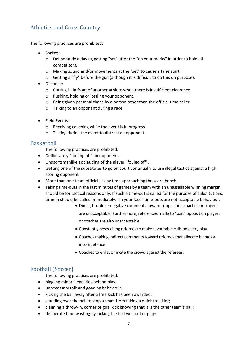# Athletics and Cross Country

The following practices are prohibited:

- Sprints:
	- o Deliberately delaying getting "set" after the "on your marks" in order to hold all competitors.
	- o Making sound and/or movements at the "set" to cause a false start.
	- o Getting a "fly" before the gun (although it is difficult to do this on purpose).
- Distance:
	- o Cutting-in in front of another athlete when there is insufficient clearance.
	- o Pushing, holding or jostling your opponent.
	- o Being given personal times by a person other than the official time caller.
	- o Talking to an opponent during a race.
- Field Events:
	- o Receiving coaching while the event is in progress.
	- o Talking during the event to distract an opponent.

#### **Basketball**

The following practices are prohibited:

- Deliberately "fouling off" an opponent.
- Unsportsmanlike applauding of the player "fouled off".
- Getting one of the substitutes to go on court continually to use illegal tactics against a high scoring opponent.
- More than one team official at any time approaching the score bench.
- Taking time-outs in the last minutes of games by a team with an unassailable winning margin should be for tactical reasons only. If such a time-out is called for the purpose of substitutions, time-in should be called immediately. "In your face" time-outs are not acceptable behaviour.
	- Direct, hostile or negative comments towards opposition coaches or players are unacceptable. Furthermore, references made to "bait" opposition players or coaches are also unacceptable.
	- Constantly beseeching referees to make favourable calls on every play.
	- Coaches making indirect comments toward referees that allocate blame or incompetence
	- Coaches to enlist or incite the crowd against the referees.

## Football (Soccer)

The following practices are prohibited:

- niggling minor illegalities behind play;
- unnecessary talk and goading behaviour;
- kicking the ball away after a free kick has been awarded;
- standing over the ball to stop a team from taking a quick free kick;
- claiming a throw-in, corner or goal kick knowing that it is the other team's ball;
- deliberate time wasting by kicking the ball well out of play;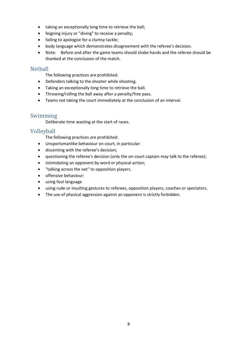- taking an exceptionally long time to retrieve the ball;
- feigning injury or "diving" to receive a penalty;
- failing to apologise for a clumsy tackle;
- body language which demonstrates disagreement with the referee's decision.
- Note: Before and after the game teams should shake hands and the referee should be thanked at the conclusion of the match.

#### **Nethall**

The following practices are prohibited:

- Defenders talking to the shooter while shooting.
- Taking an exceptionally long time to retrieve the ball.
- Throwing/rolling the ball away after a penalty/free pass.
- Teams not taking the court immediately at the conclusion of an interval.

## Swimming

Deliberate time wasting at the start of races.

## Volleyball

The following practices are prohibited:

- Unsportsmanlike behaviour on court, in particular:
- dissenting with the referee's decision;
- questioning the referee's decision (only the on-court captain may talk to the referee);
- intimidating an opponent by word or physical action;
- "talking across the net" to opposition players.
- offensive behaviour:
- using foul language
- using rude or insulting gestures to referees, opposition players, coaches or spectators.
- The use of physical aggression against an opponent is strictly forbidden.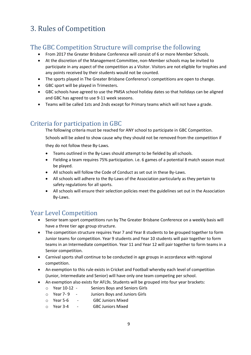# <span id="page-8-0"></span>3. Rules of Competition

# <span id="page-8-1"></span>The GBC Competition Structure will comprise the following

- From 2017 the Greater Brisbane Conference will consist of 6 or more Member Schools.
- At the discretion of the Management Committee, non-Member schools may be invited to participate in any aspect of the competition as a Visitor. Visitors are not eligible for trophies and any points received by their students would not be counted.
- The sports played in The Greater Brisbane Conference's competitions are open to change.
- GBC sport will be played in Trimesters.
- GBC schools have agreed to use the PMSA school holiday dates so that holidays can be aligned and GBC has agreed to use 9-11 week seasons.
- Teams will be called 1sts and 2nds except for Primary teams which will not have a grade.

# <span id="page-8-2"></span>Criteria for participation in GBC

The following criteria must be reached for ANY school to participate in GBC Competition.

Schools will be asked to show cause why they should not be removed from the competition if they do not follow these By-Laws.

- Teams outlined in the By-Laws should attempt to be fielded by all schools.
- Fielding a team requires 75% participation. i.e. 6 games of a potential 8 match season must be played.
- All schools will follow the Code of Conduct as set out in these By-Laws.
- All schools will adhere to the By-Laws of the Association particularly as they pertain to safety regulations for all sports.
- All schools will ensure their selection policies meet the guidelines set out in the Association By-Laws.

# <span id="page-8-3"></span>Year Level Competition

- Senior team sport competitions run by The Greater Brisbane Conference on a weekly basis will have a three tier age group structure.
- The competition structure requires Year 7 and Year 8 students to be grouped together to form Junior teams for competition. Year 9 students and Year 10 students will pair together to form teams in an Intermediate competition. Year 11 and Year 12 will pair together to form teams in a Senior competition.
- Carnival sports shall continue to be conducted in age groups in accordance with regional competition.
- An exemption to this rule exists in Cricket and Football whereby each level of competition (Junior, Intermediate and Senior) will have only one team competing per school.
- An exemption also exists for AFL9s. Students will be grouped into four year brackets:
	- o Year 10-12 Seniors Boys and Seniors Girls
	- o Year 7- 9 Juniors Boys and Juniors Girls
	- o Year 5-6 GBC Juniors Mixed
	- o Year 3-4 GBC Juniors Mixed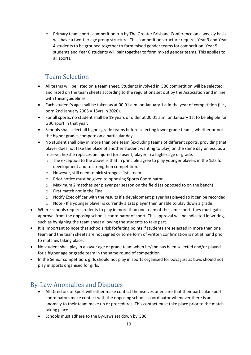o Primary team sports competition run by The Greater Brisbane Conference on a weekly basis will have a two-tier age group structure. This competition structure requires Year 3 and Year 4 students to be grouped together to form mixed gender teams for competition. Year 5 students and Year 6 students will pair together to form mixed gender teams. This applies to all sports.

# Team Selection

- <span id="page-9-0"></span>• All teams will be listed on a team sheet. Students involved in GBC competition will be selected and listed on the team sheets according to the regulations set out by the Association and in line with these guidelines.
- Each student's age shall be taken as at 00.01 a.m. on January 1st in the year of competition (i.e., born 2nd January 2005 = 15yrs in 2020).
- For all sports, no student shall be 19 years or older at 00.01 a.m. on January 1st to be eligible for GBC sport in that year.
- Schools shall select all higher-grade teams before selecting lower grade teams, whether or not the higher grades compete on a particular day.
- No student shall play in more than one team (excluding teams of different sports, providing that player does not take the place of another student wanting to play) on the same day unless, as a reserve, he/she replaces an injured (or absent) player in a higher age or grade.
	- $\circ$  The exception to the above is that in principle agree to play younger players in the 1sts for development and to strengthen competition.
	- o However, still need to pick strongest 1sts team.
	- o Prior notice must be given to opposing Sports Coordinator
	- o Maximum 2 matches per player per season on the field (as opposed to on the bench)
	- o First match not in the Final
	- o Notify Exec officer with the results if a development player has played so it can be recorded
	- $\circ$  Note If a younger player is currently a 1sts player then unable to play down a grade
- Where schools require students to play in more than one team of the same sport, they must gain approval from the opposing school's coordinator of sport. This approval will be indicated in writing, such as by signing the team sheet allowing the students to take part.
- It is important to note that schools risk forfeiting points if students are selected in more than one team and the team sheets are not signed or some form of written confirmation is not at hand prior to matches taking place.
- No student shall play in a lower age or grade team when he/she has been selected and/or played for a higher age or grade team in the same round of competition.
- In the Senior competition, girls should not play in sports organised for boys just as boys should not play in sports organised for girls.

# <span id="page-9-1"></span>By-Law Anomalies and Disputes

- All Directors of Sport will either make contact themselves or ensure that their particular sport coordinators make contact with the opposing school's coordinator whenever there is an anomaly to their team make up or procedures. This contact must take place prior to the match taking place.
- Schools must adhere to the By-Laws set down by GBC.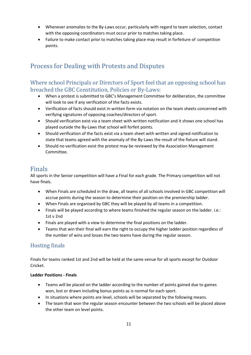- Whenever anomalies to the By-Laws occur, particularly with regard to team selection, contact with the opposing coordinators must occur prior to matches taking place.
- Failure to make contact prior to matches taking place may result in forfeiture of competition points.

# <span id="page-10-0"></span>Process for Dealing with Protests and Disputes

## Where school Principals or Directors of Sport feel that an opposing school has breached the GBC Constitution, Policies or By-Laws:

- When a protest is submitted to GBC's Management Committee for deliberation, the committee will look to see if any verification of the facts exists.
- Verification of facts should exist in written form via notation on the team sheets concerned with verifying signatures of opposing coaches/directors of sport.
- Should verification exist via a team sheet with written notification and it shows one school has played outside the By-Laws that school will forfeit points.
- Should verification of the facts exist via a team sheet with written and signed notification to state that teams agreed with the anomaly of the By-Laws the result of the fixture will stand.
- Should no verification exist the protest may be reviewed by the Association Management Committee.

# <span id="page-10-1"></span>Finals

All sports in the Senior competition will have a Final for each grade. The Primary competition will not have finals.

- When Finals are scheduled in the draw, all teams of all schools involved in GBC competition will accrue points during the season to determine their position on the premiership ladder.
- When Finals are organised by GBC they will be played by all teams in a competition.
- Finals will be played according to where teams finished the regular season on the ladder. i.e.: 1st v 2nd
- Finals are played with a view to determine the final positions on the ladder.
- Teams that win their final will earn the right to occupy the higher ladder position regardless of the number of wins and losses the two teams have during the regular season.

# Hosting finals

Finals for teams ranked 1st and 2nd will be held at the same venue for all sports except for Outdoor Cricket.

#### **Ladder Positions - Finals**

- Teams will be placed on the ladder according to the number of points gained due to games won, lost or drawn including bonus points as is normal for each sport.
- In situations where points are level, schools will be separated by the following means.
- The team that won the regular season encounter between the two schools will be placed above the other team on level points.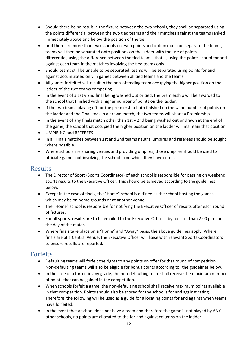- Should there be no result in the fixture between the two schools, they shall be separated using the points differential between the two tied teams and their matches against the teams ranked immediately above and below the position of the tie.
- or if there are more than two schools on even points and option does not separate the teams, teams will then be separated onto positions on the ladder with the use of points differential, using the difference between the tied teams; that is, using the points scored for and against each team in the matches involving the tied teams only.
- Should teams still be unable to be separated, teams will be separated using points for and against accumulated only in games between all tied teams and the teams
- All games forfeited will result in the non-offending team occupying the higher position on the ladder of the two teams competing.
- In the event of a 1st v 2nd final being washed out or tied, the premiership will be awarded to the school that finished with a higher number of points on the ladder.
- If the two teams playing off for the premiership both finished on the same number of points on the ladder and the Final ends in a drawn match, the two teams will share a Premiership.
- In the event of any finals match other than 1st v 2nd being washed out or drawn at the end of the game, the school that occupied the higher position on the ladder will maintain that position.
- UMPIRING and REFEREES
- In all Finals matches between 1st and 2nd teams neutral umpires and referees should be sought where possible.
- Where schools are sharing venues and providing umpires, those umpires should be used to officiate games not involving the school from which they have come.

## <span id="page-11-0"></span>Results

- The Director of Sport (Sports Coordinator) of each school is responsible for passing on weekend sports results to the Executive Officer. This should be achieved according to the guidelines below.
- Except in the case of finals, the "Home" school is defined as the school hosting the games, which may be on home grounds or at another venue.
- The "Home" school is responsible for notifying the Executive Officer of results after each round of fixtures.
- For all sports, results are to be emailed to the Executive Officer by no later than 2.00 p.m. on the day of the match.
- Where finals take place on a "Home" and "Away" basis, the above guidelines apply. Where finals are at a Central Venue, the Executive Officer will liaise with relevant Sports Coordinators to ensure results are reported.

# <span id="page-11-1"></span>Forfeits

- Defaulting teams will forfeit the rights to any points on offer for that round of competition. Non-defaulting teams will also be eligible for bonus points according to the guidelines below.
- In the case of a forfeit in any grade, the non-defaulting team shall receive the maximum number of points that can be gained in the competition.
- When schools forfeit a game, the non-defaulting school shall receive maximum points available in that competition. Points should also be scored for the school's for and against rating. Therefore, the following will be used as a guide for allocating points for and against when teams have forfeited.
- In the event that a school does not have a team and therefore the game is not played by ANY other schools, no points are allocated to the for and against columns on the ladder.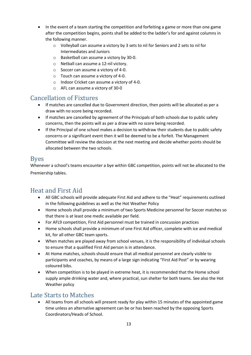- In the event of a team starting the competition and forfeiting a game or more than one game after the competition begins, points shall be added to the ladder's for and against columns in the following manner.
	- o Volleyball can assume a victory by 3 sets to nil for Seniors and 2 sets to nil for Intermediates and Juniors
	- o Basketball can assume a victory by 30-0.
	- o Netball can assume a 12-nil victory.
	- o Soccer can assume a victory of 4-0.
	- o Touch can assume a victory of 4-0.
	- o Indoor Cricket can assume a victory of 4-0.
	- o AFL can assume a victory of 30-0

# <span id="page-12-0"></span>Cancellation of Fixtures

- If matches are cancelled due to Government direction, then points will be allocated as per a draw with no score being recorded.
- If matches are cancelled by agreement of the Principals of both schools due to public safety concerns, then the points will as per a draw with no score being recorded.
- If the Principal of one school makes a decision to withdraw their students due to public safety concerns or a significant event then it will be deemed to be a forfeit. The Management Committee will review the decision at the next meeting and decide whether points should be allocated between the two schools.

## <span id="page-12-1"></span>Byes

Whenever a school's teams encounter a bye within GBC competition, points will not be allocated to the Premiership tables.

# <span id="page-12-2"></span>Heat and First Aid

- All GBC schools will provide adequate First Aid and adhere to the "Heat" requirements outlined in the following guidelines as well as the Hot Weather Policy
- Home schools shall provide a minimum of two Sports Medicine personnel for Soccer matches so that there is at least one medic available per field.
- For AFL9 competition, First Aid personnel must be trained in concussion practices
- Home schools shall provide a minimum of one First Aid officer, complete with ice and medical kit, for all other GBC team sports.
- When matches are played away from school venues, it is the responsibility of individual schools to ensure that a qualified First Aid person is in attendance.
- At Home matches, schools should ensure that all medical personnel are clearly visible to participants and coaches, by means of a large sign indicating "First Aid Post" or by wearing coloured bibs.
- When competition is to be played in extreme heat, it is recommended that the Home school supply ample drinking water and, where practical, sun shelter for both teams. See also the Hot Weather policy

# <span id="page-12-3"></span>Late Starts to Matches

• All teams from all schools will present ready for play within 15 minutes of the appointed game time unless an alternative agreement can be or has been reached by the opposing Sports Coordinators/Heads of School.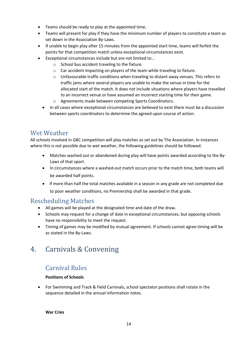- Teams should be ready to play at the appointed time.
- Teams will present for play if they have the minimum number of players to constitute a team as set down in the Association By-Laws.
- If unable to begin play after 15 minutes from the appointed start time, teams will forfeit the points for that competition match unless exceptional circumstances exist.
	- Exceptional circumstances include but are not limited to…
		- o School bus accident traveling to the fixture.
		- o Car accident impacting on players of the team while traveling to fixture.
		- $\circ$  Unfavourable traffic conditions when traveling to distant away venues. This refers to traffic jams where several players are unable to make the venue in time for the allocated start of the match. It does not include situations where players have travelled to an incorrect venue or have assumed an incorrect starting time for their game.
		- o Agreements made between competing Sports Coordinators.
	- In all cases where exceptional circumstances are believed to exist there must be a discussion between sports coordinators to determine the agreed upon course of action.

# <span id="page-13-0"></span>Wet Weather

All schools involved in GBC competition will play matches as set out by The Association. In instances where this is not possible due to wet weather, the following guidelines should be followed.

- Matches washed out or abandoned during play will have points awarded according to the By-Laws of that sport.
- In circumstances where a washed-out match occurs prior to the match time, both teams will be awarded half points.
- If more than half the total matches available in a season in any grade are not completed due to poor weather conditions, no Premiership shall be awarded in that grade.

# <span id="page-13-1"></span>Rescheduling Matches

- All games will be played at the designated time and date of the draw.
- Schools may request for a change of date in exceptional circumstances, but opposing schools have no responsibility to meet the request.
- Timing of games may be modified by mutual agreement. If schools cannot agree timing will be as stated in the By-Laws.

# <span id="page-13-2"></span>4. Carnivals & Convening

# <span id="page-13-3"></span>Carnival Rules

#### **Positions of Schools**

• For Swimming and Track & Field Carnivals, school spectator positions shall rotate in the sequence detailed in the annual information notes.

**War Cries**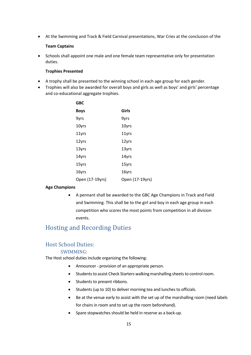• At the Swimming and Track & Field Carnival presentations, War Cries at the conclusion of the

#### **Team Captains**

• Schools shall appoint one male and one female team representative only for presentation duties.

#### **Trophies Presented**

- A trophy shall be presented to the winning school in each age group for each gender.
- Trophies will also be awarded for overall boys and girls as well as boys' and girls' percentage and co-educational aggregate trophies.

| <b>GBC</b>      |                 |
|-----------------|-----------------|
| Boys            | Girls           |
| 9yrs            | 9yrs            |
| 10yrs           | 10yrs           |
| 11yrs           | 11yrs           |
| 12yrs           | 12yrs           |
| 13yrs           | 13yrs           |
| 14yrs           | 14yrs           |
| 15yrs           | 15yrs           |
| 16yrs           | 16yrs           |
| Open (17-19yrs) | Open (17-19yrs) |

#### **Age Champions**

• A pennant shall be awarded to the GBC Age Champions in Track and Field and Swimming. This shall be to the girl and boy in each age group in each competition who scores the most points from competition in all division events.

# <span id="page-14-0"></span>Hosting and Recording Duties

## Host School Duties:

#### SWIMMING:

The Host school duties include organizing the following:

- Announcer provision of an appropriate person.
- Students to assist Check Starters walking marshalling sheets to control room.
- Students to present ribbons.
- Students (up to 10) to deliver morning tea and lunches to officials.
- Be at the venue early to assist with the set up of the marshalling room (need labels for chairs in room and to set up the room beforehand).
- Spare stopwatches should be held in reserve as a back-up.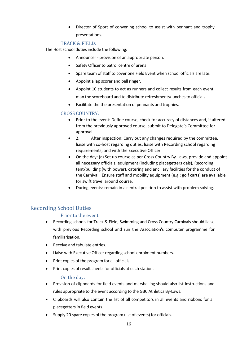• Director of Sport of convening school to assist with pennant and trophy presentations.

#### TRACK & FIELD:

The Host school duties include the following:

- Announcer provision of an appropriate person.
- Safety Officer to patrol centre of arena.
- Spare team of staff to cover one Field Event when school officials are late.
- Appoint a lap scorer and bell ringer.
- Appoint 10 students to act as runners and collect results from each event, man the scoreboard and to distribute refreshments/lunches to officials
- Facilitate the the presentation of pennants and trophies.

#### CROSS COUNTRY:

- Prior to the event: Define course, check for accuracy of distances and, if altered from the previously approved course, submit to Delegate's Committee for approval.
- 2. After inspection: Carry out any changes required by the committee, liaise with co-host regarding duties, liaise with Recording school regarding requirements, and with the Executive Officer.
- On the day: (a) Set up course as per Cross Country By-Laws, provide and appoint all necessary officials, equipment (including placegetters dais), Recording tent/building (with power), catering and ancillary facilities for the conduct of the Carnival. Ensure staff and mobility equipment (e.g.: golf carts) are available for swift travel around course.
- During events: remain in a central position to assist with problem solving.

## Recording School Duties

#### Prior to the event:

- Recording schools for Track & Field, Swimming and Cross Country Carnivals should liaise with previous Recording school and run the Association's computer programme for familiarisation.
- Receive and tabulate entries.
- Liaise with Executive Officer regarding school enrolment numbers.
- Print copies of the program for all officials.
- Print copies of result sheets for officials at each station.

#### On the day:

- Provision of clipboards for field events and marshalling should also list instructions and rules appropriate to the event according to the GBC Athletics By-Laws.
- Clipboards will also contain the list of all competitors in all events and ribbons for all placegetters in field events.
- Supply 20 spare copies of the program (list of events) for officials.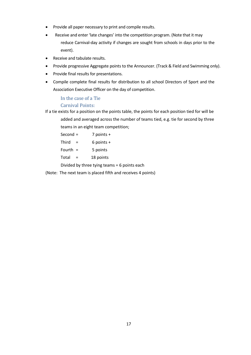- Provide all paper necessary to print and compile results.
- Receive and enter 'late changes' into the competition program. (Note that it may reduce Carnival-day activity if changes are sought from schools in days prior to the event).
- Receive and tabulate results.
- Provide progressive Aggregate points to the Announcer. (Track & Field and Swimming only).
- Provide final results for presentations.
- Compile complete final results for distribution to all school Directors of Sport and the Association Executive Officer on the day of competition.

#### In the case of a Tie

#### Carnival Points:

If a tie exists for a position on the points table, the points for each position tied for will be added and averaged across the number of teams tied, e.g. tie for second by three teams in an eight team competition;

| Second =   | $7$ points $+$ |
|------------|----------------|
| Third      | $6$ points $+$ |
| Fourth $=$ | 5 points       |
| Total      | 18 points      |
|            |                |

Divided by three tying teams = 6 points each

(Note: The next team is placed fifth and receives 4 points)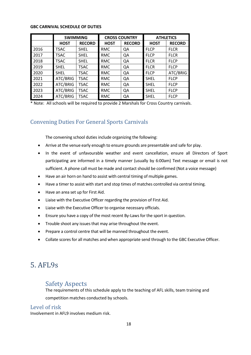#### **GBC CARNIVAL SCHEDULE OF DUTIES**

|      | <b>SWIMMING</b> |               | <b>CROSS COUNTRY</b> |               | <b>ATHLETICS</b> |               |
|------|-----------------|---------------|----------------------|---------------|------------------|---------------|
|      | <b>HOST</b>     | <b>RECORD</b> | <b>HOST</b>          | <b>RECORD</b> | <b>HOST</b>      | <b>RECORD</b> |
| 2016 | <b>TSAC</b>     | <b>SHEL</b>   | <b>RMC</b>           | QA            | <b>FLCP</b>      | <b>FLCR</b>   |
| 2017 | <b>TSAC</b>     | <b>SHEL</b>   | <b>RMC</b>           | QA            | <b>FLCP</b>      | <b>FLCR</b>   |
| 2018 | <b>TSAC</b>     | <b>SHEL</b>   | <b>RMC</b>           | QA            | <b>FLCR</b>      | <b>FLCP</b>   |
| 2019 | <b>SHEL</b>     | <b>TSAC</b>   | <b>RMC</b>           | QA            | <b>FLCR</b>      | <b>FLCP</b>   |
| 2020 | <b>SHEL</b>     | <b>TSAC</b>   | <b>RMC</b>           | QA            | <b>FLCP</b>      | ATC/BRIG      |
| 2021 | ATC/BRIG        | <b>TSAC</b>   | <b>RMC</b>           | QA            | <b>SHEL</b>      | <b>FLCP</b>   |
| 2022 | ATC/BRIG        | <b>TSAC</b>   | <b>RMC</b>           | QA            | <b>SHEL</b>      | <b>FLCP</b>   |
| 2023 | ATC/BRIG        | <b>TSAC</b>   | <b>RMC</b>           | QA            | <b>SHEL</b>      | <b>FLCP</b>   |
| 2024 | ATC/BRIG        | <b>TSAC</b>   | <b>RMC</b>           | QA            | <b>SHEL</b>      | <b>FLCP</b>   |

\* Note: All schools will be required to provide 2 Marshals for Cross Country carnivals.

## Convening Duties For General Sports Carnivals

The convening school duties include organizing the following:

- Arrive at the venue early enough to ensure grounds are presentable and safe for play.
- In the event of unfavourable weather and event cancellation, ensure all Directors of Sport participating are informed in a timely manner (usually by 6:00am) Text message or email is not sufficient. A phone call must be made and contact should be confirmed (Not a voice message)
- Have an air horn on hand to assist with central timing of multiple games.
- Have a timer to assist with start and stop times of matches controlled via central timing.
- Have an area set up for First Aid.
- Liaise with the Executive Officer regarding the provision of First Aid.
- Liaise with the Executive Officer to organise necessary officials.
- Ensure you have a copy of the most recent By-Laws for the sport in question.
- Trouble shoot any issues that may arise throughout the event.
- Prepare a control centre that will be manned throughout the event.
- Collate scores for all matches and when appropriate send through to the GBC Executive Officer.

# <span id="page-17-0"></span>5. AFL9s

## <span id="page-17-1"></span>Safety Aspects

The requirements of this schedule apply to the teaching of AFL skills, team training and competition matches conducted by schools.

#### Level of risk

Involvement in AFL9 involves medium risk.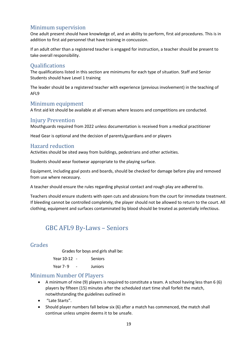## Minimum supervision

One adult present should have knowledge of, and an ability to perform, first aid procedures. This is in addition to first aid personnel that have training in concussion.

If an adult other than a registered teacher is engaged for instruction, a teacher should be present to take overall responsibility.

#### **Qualifications**

The qualifications listed in this section are minimums for each type of situation. Staff and Senior Students should have Level 1 training

The leader should be a registered teacher with experience (previous involvement) in the teaching of AFL9

#### Minimum equipment

A first aid kit should be available at all venues where lessons and competitions are conducted.

#### Injury Prevention

Mouthguards required from 2022 unless documentation is received from a medical practitioner

Head Gear is optional and the decision of parents/guardians and or players

#### Hazard reduction

Activities should be sited away from buildings, pedestrians and other activities.

Students should wear footwear appropriate to the playing surface.

Equipment, including goal posts and boards, should be checked for damage before play and removed from use where necessary.

A teacher should ensure the rules regarding physical contact and rough play are adhered to.

Teachers should ensure students with open cuts and abrasions from the court for immediate treatment. If bleeding cannot be controlled completely, the player should not be allowed to return to the court. All clothing, equipment and surfaces contaminated by blood should be treated as potentially infectious.

# <span id="page-18-0"></span>GBC AFL9 By-Laws – Seniors

#### Grades

Grades for boys and girls shall be:

Year 10-12 - Seniors

Year 7-9 - Juniors

#### Minimum Number Of Players

- A minimum of nine (9) players is required to constitute a team. A school having less than 6 (6) players by fifteen (15) minutes after the scheduled start time shall forfeit the match, notwithstanding the guidelines outlined in
- "Late Starts".
- Should player numbers fall below six (6) after a match has commenced, the match shall continue unless umpire deems it to be unsafe.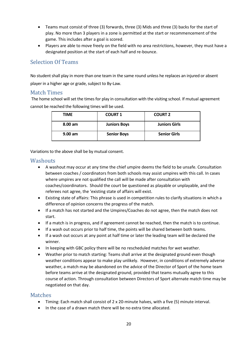- Teams must consist of three (3) forwards, three (3) Mids and three (3) backs for the start of play. No more than 3 players in a zone is permitted at the start or recommencement of the game. This includes after a goal is scored.
- Players are able to move freely on the field with no area restrictions, however, they must have a designated position at the start of each half and re-bounce.

## Selection Of Teams

No student shall play in more than one team in the same round unless he replaces an injured or absent player in a higher age or grade, subject to By-Law.

#### Match Times

The home school will set the times for play in consultation with the visiting school. If mutual agreement cannot be reached the following times will be used.

| <b>TIME</b>       | <b>COURT 1</b>      | <b>COURT 2</b>       |
|-------------------|---------------------|----------------------|
| $8.00 \text{ am}$ | <b>Juniors Boys</b> | <b>Juniors Girls</b> |
| $9.00$ am         | <b>Senior Boys</b>  | <b>Senior Girls</b>  |

Variations to the above shall be by mutual consent.

#### **Washouts**

- A washout may occur at any time the chief umpire deems the field to be unsafe. Consultation between coaches / coordinators from both schools may assist umpires with this call. In cases where umpires are not qualified the call will be made after consultation with coaches/coordinators. Should the court be questioned as playable or unplayable, and the referees not agree, the 'existing state of affairs will exist.
- Existing state of affairs: This phrase is used in competition rules to clarify situations in which a difference of opinion concerns the progress of the match.
- If a match has not started and the Umpires/Coaches do not agree, then the match does not start.
- If a match is in progress, and if agreement cannot be reached, then the match is to continue.
- If a wash out occurs prior to half time, the points will be shared between both teams.
- If a wash out occurs at any point at half time or later the leading team will be declared the winner.
- In keeping with GBC policy there will be no rescheduled matches for wet weather.
- Weather prior to match starting: Teams shall arrive at the designated ground even though weather conditions appear to make play unlikely. However, in conditions of extremely adverse weather, a match may be abandoned on the advice of the Director of Sport of the home team before teams arrive at the designated ground, provided that teams mutually agree to this course of action. Through consultation between Directors of Sport alternate match time may be negotiated on that day.

#### Matches

- Timing: Each match shall consist of 2 x 20-minute halves, with a five (5) minute interval.
- In the case of a drawn match there will be no extra time allocated.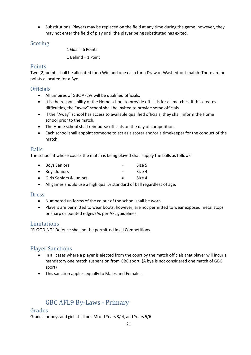• Substitutions: Players may be replaced on the field at any time during the game; however, they may not enter the field of play until the player being substituted has exited.

## Scoring

1 Goal = 6 Points

1 Behind = 1 Point

## Points

Two (2) points shall be allocated for a Win and one each for a Draw or Washed-out match. There are no points allocated for a Bye.

## **Officials**

- All umpires of GBC AFL9s will be qualified officials.
- It is the responsibility of the Home school to provide officials for all matches. If this creates difficulties, the "Away" school shall be invited to provide some officials.
- If the "Away" school has access to available qualified officials, they shall inform the Home school prior to the match.
- The Home school shall reimburse officials on the day of competition.
- Each school shall appoint someone to act as a scorer and/or a timekeeper for the conduct of the match.

## Balls

The school at whose courts the match is being played shall supply the balls as follows:

- Boys Seniors = Size 5
- Boys Juniors = Size 4
- Girls Seniors & Juniors = Size 4
- All games should use a high quality standard of ball regardless of age.

#### Dress

- Numbered uniforms of the colour of the school shall be worn.
- Players are permitted to wear boots; however, are not permitted to wear exposed metal stops or sharp or pointed edges (As per AFL guidelines.

#### Limitations

"FLOODING" Defence shall not be permitted in all Competitions.

## Player Sanctions

- In all cases where a player is ejected from the court by the match officials that player will incur a mandatory one match suspension from GBC sport. (A bye is not considered one match of GBC sport)
- This sanction applies equally to Males and Females.

# <span id="page-20-0"></span>GBC AFL9 By-Laws - Primary

#### Grades

Grades for boys and girls shall be: Mixed Years 3/ 4, and Years 5/6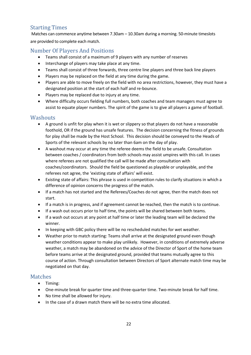# Starting Times

Matches can commence anytime between 7.30am – 10.30am during a morning. 50-minute timeslots are provided to complete each match.

## Number Of Players And Positions

- Teams shall consist of a maximum of 9 players with any number of reserves
- Interchange of players may take place at any time.
- Teams shall consist of three forwards, three centre line players and three back line players
- Players may be replaced on the field at any time during the game.
- Players are able to move freely on the field with no area restrictions, however, they must have a designated position at the start of each half and re-bounce.
- Players may be replaced due to injury at any time.
- Where difficulty occurs fielding full numbers, both coaches and team managers must agree to assist to equate player numbers. The spirit of the game is to give all players a game of football.

#### **Washouts**

- A ground is unfit for play when it is wet or slippery so that players do not have a reasonable foothold, OR if the ground has unsafe features. The decision concerning the fitness of grounds for play shall be made by the Host School. This decision should be conveyed to the Heads of Sports of the relevant schools by no later than 6am on the day of play.
- A washout may occur at any time the referee deems the field to be unsafe. Consultation between coaches / coordinators from both schools may assist umpires with this call. In cases where referees are not qualified the call will be made after consultation with coaches/coordinators. Should the field be questioned as playable or unplayable, and the referees not agree, the 'existing state of affairs' will exist.
- Existing state of affairs: This phrase is used in competition rules to clarify situations in which a difference of opinion concerns the progress of the match.
- If a match has not started and the Referees/Coaches do not agree, then the match does not start.
- If a match is in progress, and if agreement cannot be reached, then the match is to continue.
- If a wash out occurs prior to half time, the points will be shared between both teams.
- If a wash out occurs at any point at half time or later the leading team will be declared the winner.
- In keeping with GBC policy there will be no rescheduled matches for wet weather.
- Weather prior to match starting: Teams shall arrive at the designated ground even though weather conditions appear to make play unlikely. However, in conditions of extremely adverse weather, a match may be abandoned on the advice of the Director of Sport of the home team before teams arrive at the designated ground, provided that teams mutually agree to this course of action. Through consultation between Directors of Sport alternate match time may be negotiated on that day.

## Matches

- Timing:
- One-minute break for quarter time and three-quarter time. Two-minute break for half time.
- No time shall be allowed for injury.
- In the case of a drawn match there will be no extra time allocated.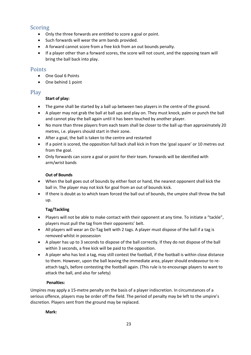## Scoring

- Only the three forwards are entitled to score a goal or point.
- Such forwards will wear the arm bands provided.
- A forward cannot score from a free kick from an out bounds penalty.
- If a player other than a forward scores, the score will not count, and the opposing team will bring the ball back into play.

#### Points

- One Goal 6 Points
- One behind 1 point

## Play

#### **Start of play:**

- The game shall be started by a ball up between two players in the centre of the ground.
- A player may not grab the ball at ball ups and play on. They must knock, palm or punch the ball and cannot play the ball again until it has been touched by another player.
- No more than three players from each team shall be closer to the ball up than approximately 20 metres, i.e. players should start in their zone.
- After a goal, the ball is taken to the centre and restarted
- If a point is scored, the opposition full back shall kick in from the 'goal square' or 10 metres out from the goal.
- Only forwards can score a goal or point for their team. Forwards will be identified with arm/wrist bands

#### **Out of Bounds**

- When the ball goes out of bounds by either foot or hand, the nearest opponent shall kick the ball in. The player may not kick for goal from an out of bounds kick.
- If there is doubt as to which team forced the ball out of bounds, the umpire shall throw the ball up.

## **Tag/Tackling**

- Players will not be able to make contact with their opponent at any time. To initiate a "tackle", players must pull the tag from their opponents' belt.
- All players will wear an Oz-Tag belt with 2 tags. A player must dispose of the ball if a tag is removed whilst in possession
- A player has up to 3 seconds to dispose of the ball correctly. If they do not dispose of the ball within 3 seconds, a free kick will be paid to the opposition.
- A player who has lost a tag, may still contest the football, if the football is within close distance to them. However, upon the ball leaving the immediate area, player should endeavour to reattach tag/s, before contesting the football again. (This rule is to encourage players to want to attack the ball, and also for safety)

#### **Penalties:**

Umpires may apply a 15-metre penalty on the basis of a player indiscretion. In circumstances of a serious offence, players may be order off the field. The period of penalty may be left to the umpire's discretion. Players sent from the ground may be replaced.

#### **Mark:**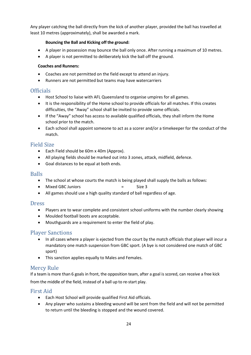Any player catching the ball directly from the kick of another player, provided the ball has travelled at least 10 metres (approximately), shall be awarded a mark.

#### **Bouncing the Ball and Kicking off the ground:**

- A player in possession may bounce the ball only once. After running a maximum of 10 metres.
- A player is not permitted to deliberately kick the ball off the ground.

#### **Coaches and Runners:**

- Coaches are not permitted on the field except to attend an injury.
- Runners are not permitted but teams may have watercarriers

## **Officials**

- Host School to liaise with AFL Queensland to organise umpires for all games.
- It is the responsibility of the Home school to provide officials for all matches. If this creates difficulties, the "Away" school shall be invited to provide some officials.
- If the "Away" school has access to available qualified officials, they shall inform the Home school prior to the match.
- Each school shall appoint someone to act as a scorer and/or a timekeeper for the conduct of the match.

## Field Size

- Each Field should be 60m x 40m (Approx).
- All playing fields should be marked out into 3 zones, attack, midfield, defence.
- Goal distances to be equal at both ends.

#### **Balls**

- The school at whose courts the match is being played shall supply the balls as follows:
- Mixed GBC Juniors = Size 3
- All games should use a high quality standard of ball regardless of age.

#### **Dress**

- Players are to wear complete and consistent school uniforms with the number clearly showing
- Moulded football boots are acceptable.
- Mouthguards are a requirement to enter the field of play.

## Player Sanctions

- In all cases where a player is ejected from the court by the match officials that player will incur a mandatory one match suspension from GBC sport. (A bye is not considered one match of GBC sport)
- This sanction applies equally to Males and Females.

## Mercy Rule

If a team is more than 6 goals in front, the opposition team, after a goal is scored, can receive a free kick from the middle of the field, instead of a ball up to re-start play.

## First Aid

- Each Host School will provide qualified First Aid officials.
- Any player who sustains a bleeding wound will be sent from the field and will not be permitted to return until the bleeding is stopped and the wound covered.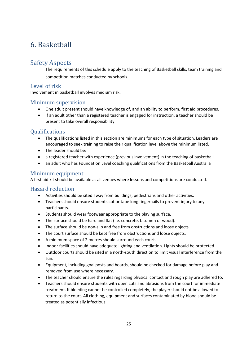# <span id="page-24-0"></span>6. Basketball

# <span id="page-24-1"></span>Safety Aspects

The requirements of this schedule apply to the teaching of Basketball skills, team training and competition matches conducted by schools.

## Level of risk

Involvement in basketball involves medium risk.

#### Minimum supervision

- One adult present should have knowledge of, and an ability to perform, first aid procedures.
- If an adult other than a registered teacher is engaged for instruction, a teacher should be present to take overall responsibility.

## **Oualifications**

- The qualifications listed in this section are minimums for each type of situation. Leaders are encouraged to seek training to raise their qualification level above the minimum listed.
- The leader should be:
- a registered teacher with experience (previous involvement) in the teaching of basketball
- an adult who has Foundation Level coaching qualifications from the Basketball Australia

## Minimum equipment

A first aid kit should be available at all venues where lessons and competitions are conducted.

## Hazard reduction

- Activities should be sited away from buildings, pedestrians and other activities.
- Teachers should ensure students cut or tape long fingernails to prevent injury to any participants.
- Students should wear footwear appropriate to the playing surface.
- The surface should be hard and flat (i.e. concrete, bitumen or wood).
- The surface should be non-slip and free from obstructions and loose objects.
- The court surface should be kept free from obstructions and loose objects.
- A minimum space of 2 metres should surround each court.
- Indoor facilities should have adequate lighting and ventilation. Lights should be protected.
- Outdoor courts should be sited in a north-south direction to limit visual interference from the sun.
- Equipment, including goal posts and boards, should be checked for damage before play and removed from use where necessary.
- The teacher should ensure the rules regarding physical contact and rough play are adhered to.
- Teachers should ensure students with open cuts and abrasions from the court for immediate treatment. If bleeding cannot be controlled completely, the player should not be allowed to return to the court. All clothing, equipment and surfaces contaminated by blood should be treated as potentially infectious.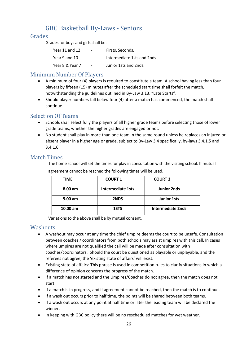# <span id="page-25-0"></span>GBC Basketball By-Laws - Seniors

#### Grades

Grades for boys and girls shall be:

| Year 11 and 12  | $\overline{\phantom{a}}$ | Firsts, Seconds,           |
|-----------------|--------------------------|----------------------------|
| Year 9 and 10   | $\overline{\phantom{0}}$ | Intermediate 1sts and 2nds |
| Year 8 & Year 7 | $\overline{\phantom{0}}$ | Junior 1sts and 2nds.      |

#### Minimum Number Of Players

- A minimum of four (4) players is required to constitute a team. A school having less than four players by fifteen (15) minutes after the scheduled start time shall forfeit the match, notwithstanding the guidelines outlined in By-Law 3.13, "Late Starts".
- Should player numbers fall below four (4) after a match has commenced, the match shall continue.

## Selection Of Teams

- Schools shall select fully the players of all higher grade teams before selecting those of lower grade teams, whether the higher grades are engaged or not.
- No student shall play in more than one team in the same round unless he replaces an injured or absent player in a higher age or grade, subject to By-Law 3.4 specifically, by-laws 3.4.1.5 and 3.4.1.6.

#### Match Times

The home school will set the times for play in consultation with the visiting school. If mutual agreement cannot be reached the following times will be used.

| <b>TIME</b>       | <b>COURT 1</b>           | <b>COURT 2</b>     |
|-------------------|--------------------------|--------------------|
| $8.00 \text{ am}$ | <b>Intermediate 1sts</b> | <b>Junior 2nds</b> |
| $9.00$ am         | 2NDS                     | <b>Junior 1sts</b> |
| $10.00$ am        | 1STS                     | Intermediate 2nds  |

Variations to the above shall be by mutual consent.

#### **Washouts**

- A washout may occur at any time the chief umpire deems the court to be unsafe. Consultation between coaches / coordinators from both schools may assist umpires with this call. In cases where umpires are not qualified the call will be made after consultation with coaches/coordinators. Should the court be questioned as playable or unplayable, and the referees not agree, the 'existing state of affairs' will exist.
- Existing state of affairs: This phrase is used in competition rules to clarify situations in which a difference of opinion concerns the progress of the match.
- If a match has not started and the Umpires/Coaches do not agree, then the match does not start.
- If a match is in progress, and if agreement cannot be reached, then the match is to continue.
- If a wash out occurs prior to half time, the points will be shared between both teams.
- If a wash out occurs at any point at half time or later the leading team will be declared the winner.
- In keeping with GBC policy there will be no rescheduled matches for wet weather.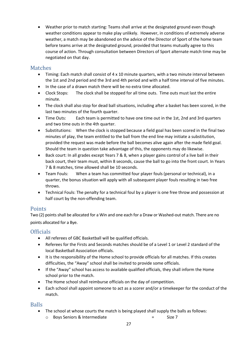• Weather prior to match starting: Teams shall arrive at the designated ground even though weather conditions appear to make play unlikely. However, in conditions of extremely adverse weather, a match may be abandoned on the advice of the Director of Sport of the home team before teams arrive at the designated ground, provided that teams mutually agree to this course of action. Through consultation between Directors of Sport alternate match time may be negotiated on that day.

#### Matches

- Timing: Each match shall consist of 4 x 10 minute quarters, with a two minute interval between the 1st and 2nd period and the 3rd and 4th period and with a half time interval of five minutes.
- In the case of a drawn match there will be no extra time allocated.
- Clock Stops: The clock shall be stopped for all time outs. Time outs must last the entire minute.
- The clock shall also stop for dead ball situations, including after a basket has been scored, in the last two minutes of the fourth quarter.
- Time Outs: Each team is permitted to have one time out in the 1st, 2nd and 3rd quarters and two time outs in the 4th quarter.
- Substitutions: When the clock is stopped because a field goal has been scored in the final two minutes of play, the team entitled to the ball from the end line may initiate a substitution, provided the request was made before the ball becomes alive again after the made field goal. Should the team in question take advantage of this, the opponents may do likewise.
- Back court: In all grades except Years 7 & 8, when a player gains control of a live ball in their back court, their team must, within 8 seconds, cause the ball to go into the front court. In Years 7 & 8 matches, time allowed shall be 10 seconds.
- Team Fouls: When a team has committed four player fouls (personal or technical), in a quarter, the bonus situation will apply with all subsequent player fouls resulting in two free throws.
- Technical Fouls: The penalty for a technical foul by a player is one free throw and possession at half court by the non-offending team.

## Points

Two (2) points shall be allocated for a Win and one each for a Draw or Washed-out match. There are no points allocated for a Bye.

## **Officials**

- All referees of GBC Basketball will be qualified officials.
- Referees for the Firsts and Seconds matches should be of a Level 1 or Level 2 standard of the local Basketball Association officials.
- It is the responsibility of the Home school to provide officials for all matches. If this creates difficulties, the "Away" school shall be invited to provide some officials.
- If the "Away" school has access to available qualified officials, they shall inform the Home school prior to the match.
- The Home school shall reimburse officials on the day of competition.
- Each school shall appoint someone to act as a scorer and/or a timekeeper for the conduct of the match.

#### Balls

- The school at whose courts the match is being played shall supply the balls as follows:
	- o Boys Seniors & Intermediate = Size 7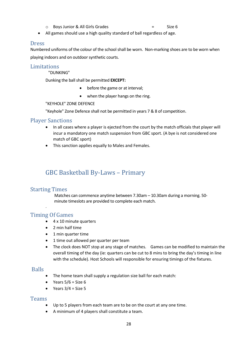- o Boys Junior & All Girls Grades = Size 6
- All games should use a high quality standard of ball regardless of age.

#### Dress

Numbered uniforms of the colour of the school shall be worn. Non-marking shoes are to be worn when playing indoors and on outdoor synthetic courts.

#### **Limitations**

"DUNKING"

Dunking the ball shall be permitted **EXCEPT:**

- before the game or at interval;
- when the player hangs on the ring.

#### "KEYHOLE" ZONE DEFENCE

"Keyhole" Zone Defence shall not be permitted in years 7 & 8 of competition.

#### Player Sanctions

- In all cases where a player is ejected from the court by the match officials that player will incur a mandatory one match suspension from GBC sport. (A bye is not considered one match of GBC sport)
- This sanction applies equally to Males and Females.

# <span id="page-27-0"></span>GBC Basketball By-Laws – Primary

#### Starting Times

.

Matches can commence anytime between 7.30am – 10.30am during a morning. 50 minute timeslots are provided to complete each match.

#### Timing Of Games

- 4 x 10 minute quarters
- 2 min half time
- 1 min quarter time
- 1 time out allowed per quarter per team
- The clock does NOT stop at any stage of matches. Games can be modified to maintain the overall timing of the day (ie: quarters can be cut to 8 mins to bring the day's timing in line with the schedule). Host Schools will responsible for ensuring timings of the fixtures.

#### Balls

- The home team shall supply a regulation size ball for each match:
- Years  $5/6$  = Size 6
- Years  $3/4$  = Size 5

#### **Teams**

- Up to 5 players from each team are to be on the court at any one time.
- A minimum of 4 players shall constitute a team.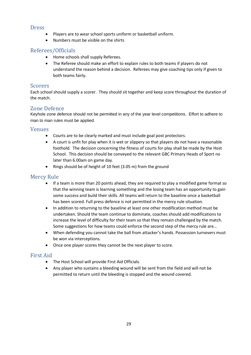#### **Dress**

- Players are to wear school sports uniform or basketball uniform.
- Numbers must be visible on the shirts

#### Referees/Officials

- Home schools shall supply Referees.
- The Referee should make an effort to explain rules to both teams if players do not understand the reason behind a decision. Referees may give coaching tips only if given to both teams fairly.

#### Scorers

Each school should supply a scorer. They should sit together and keep score throughout the duration of the match.

#### Zone Defence

Keyhole zone defence should not be permitted in any of the year level competitions. Effort to adhere to man to man rules must be applied.

#### Venues

- Courts are to be clearly marked and must include goal post protectors.
- A court is unfit for play when it is wet or slippery so that players do not have a reasonable foothold. The decision concerning the fitness of courts for play shall be made by the Host School. This decision should be conveyed to the relevant GBC Primary Heads of Sport no later than 6.00am on game day.
- Rings should be of height of 10 feet (3.05 m) from the ground

#### Mercy Rule

- If a team is more than 20 points ahead, they are required to play a modified game format so that the winning team is learning something and the losing team has an opportunity to gain some success and build their skills. All teams will return to the baseline once a basketball has been scored. Full press defence is not permitted in the mercy rule situation.
- In addition to returning to the baseline at least one other modification method must be undertaken. Should the team continue to dominate, coaches should add modifications to increase the level of difficulty for their team so that they remain challenged by the match. Some suggestions for how teams could enforce the second step of the mercy rule are…
- When defending you cannot take the ball from attacker's hands. Possession turnovers must be won via interceptions.
- Once one player scores they cannot be the next player to score.

## First Aid

- The Host School will provide First Aid Officials.
- Any player who sustains a bleeding wound will be sent from the field and will not be permitted to return until the bleeding is stopped and the wound covered.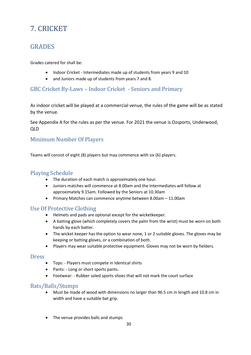# <span id="page-29-0"></span>7. CRICKET

# <span id="page-29-1"></span>GRADES

Grades catered for shall be:

- Indoor Cricket Intermediates made up of students from years 9 and 10
- and Juniors made up of students from years 7 and 8.

## GBC Cricket By-Laws – Indoor Cricket - Seniors and Primary

As indoor cricket will be played at a commercial venue, the rules of the game will be as stated by the venue.

See Appendix A for the rules as per the venue. For 2021 the venue is Ozsports, Underwood, QLD

# Minimum Number Of Players

Teams will consist of eight (8) players but may commence with six (6) players.

## Playing Schedule

- The duration of each match is approximately one hour.
- Juniors matches will commence at 8.00am and the Intermediates will follow at approximately 9.15am. Followed by the Seniors at 10.30am
- Primary Matches can commence anytime between 8.00am 11.00am

## Use Of Protective Clothing

- Helmets and pads are optional except for the wicketkeeper.
- A batting glove (which completely covers the palm from the wrist) must be worn on both hands by each batter.
- The wicket keeper has the option to wear none, 1 or 2 suitable gloves. The gloves may be keeping or batting gloves, or a combination of both.
- Players may wear suitable protective equipment. Gloves may not be worn by fielders.

## **Dress**

- Tops: Players must compete in Identical shirts
- Pants: Long or short sports pants.
- Footwear: Rubber soled sports shoes that will not mark the court surface

## Bats/Balls/Stumps

- Must be made of wood with dimensions no larger than 96.5 cm in length and 10.8 cm in width and have a suitable bat grip.
- The venue provides balls and stumps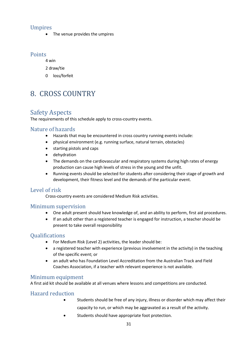## Umpires

• The venue provides the umpires

## **Points**

4 win

- 2 draw/tie
- <span id="page-30-0"></span>0 loss/forfeit

# 8. CROSS COUNTRY

# <span id="page-30-1"></span>Safety Aspects

The requirements of this schedule apply to cross-country events.

## Nature of hazards

- Hazards that may be encountered in cross country running events include:
- physical environment (e.g. running surface, natural terrain, obstacles)
- starting pistols and caps
- dehydration
- The demands on the cardiovascular and respiratory systems during high rates of energy production can cause high levels of stress in the young and the unfit.
- Running events should be selected for students after considering their stage of growth and development, their fitness level and the demands of the particular event.

## Level of risk

Cross-country events are considered Medium Risk activities.

#### Minimum supervision

- One adult present should have knowledge of, and an ability to perform, first aid procedures.
- If an adult other than a registered teacher is engaged for instruction, a teacher should be present to take overall responsibility

## **Oualifications**

- For Medium Risk (Level 2) activities, the leader should be:
- a registered teacher with experience (previous involvement in the activity) in the teaching of the specific event; or
- an adult who has Foundation Level Accreditation from the Australian Track and Field Coaches Association, if a teacher with relevant experience is not available.

## Minimum equipment

A first aid kit should be available at all venues where lessons and competitions are conducted.

## Hazard reduction

- Students should be free of any injury, illness or disorder which may affect their capacity to run, or which may be aggravated as a result of the activity.
- Students should have appropriate foot protection.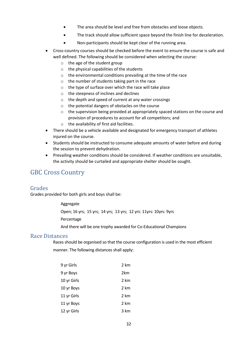- The area should be level and free from obstacles and loose objects.
- The track should allow sufficient space beyond the finish line for deceleration.
- Non-participants should be kept clear of the running area.
- Cross-country courses should be checked before the event to ensure the course is safe and well defined. The following should be considered when selecting the course:
	- o the age of the student group
	- o the physical capabilities of the students
	- o the environmental conditions prevailing at the time of the race
	- o the number of students taking part in the race
	- o the type of surface over which the race will take place
	- o the steepness of inclines and declines
	- o the depth and speed of current at any water crossings
	- o the potential dangers of obstacles on the course
	- o the supervision being provided at appropriately spaced stations on the course and provision of procedures to account for all competitors; and
	- $\circ$  the availability of first aid facilities.
- There should be a vehicle available and designated for emergency transport of athletes injured on the course.
- Students should be instructed to consume adequate amounts of water before and during the session to prevent dehydration.
- Prevailing weather conditions should be considered. If weather conditions are unsuitable, the activity should be curtailed and appropriate shelter should be sought.

# <span id="page-31-0"></span>GBC Cross Country

## Grades

Grades provided for both girls and boys shall be:

Aggregate

Open; 16 yrs; 15 yrs; 14 yrs; 13 yrs; 12 yrs: 11yrs: 10yrs: 9yrs

Percentage

And there will be one trophy awarded for Co-Educational Champions

## Race Distances

Races should be organised so that the course configuration is used in the most efficient manner. The following distances shall apply:

| 9 yr Girls  | 2 km |
|-------------|------|
| 9 yr Boys   | 2km  |
| 10 yr Girls | 2 km |
| 10 yr Boys  | 2 km |
| 11 yr Girls | 2 km |
| 11 yr Boys  | 2 km |
| 12 yr Girls | 3 km |
|             |      |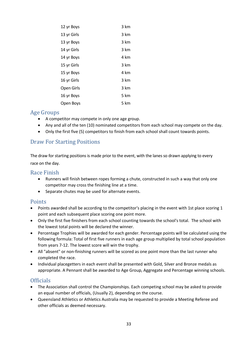| 12 yr Boys  | 3 km |
|-------------|------|
| 13 yr Girls | 3 km |
| 13 yr Boys  | 3 km |
| 14 yr Girls | 3 km |
| 14 yr Boys  | 4 km |
| 15 yr Girls | 3 km |
| 15 yr Boys  | 4 km |
| 16 yr Girls | 3 km |
| Open Girls  | 3 km |
| 16 yr Boys  | 5 km |
| Open Boys   | 5 km |

#### Age Groups

- A competitor may compete in only one age group.
- Any and all of the ten (10) nominated competitors from each school may compete on the day.
- Only the first five (5) competitors to finish from each school shall count towards points.

## Draw For Starting Positions

The draw for starting positions is made prior to the event, with the lanes so drawn applying to every race on the day.

#### Race Finish

- Runners will finish between ropes forming a chute, constructed in such a way that only one competitor may cross the finishing line at a time.
- Separate chutes may be used for alternate events.

## Points

- Points awarded shall be according to the competitor's placing in the event with 1st place scoring 1 point and each subsequent place scoring one point more.
- Only the first five finishers from each school counting towards the school's total. The school with the lowest total points will be declared the winner.
- Percentage Trophies will be awarded for each gender. Percentage points will be calculated using the following formula: Total of first five runners in each age group multiplied by total school population from years 7-12. The lowest score will win the trophy.
- All "absent" or non-finishing runners will be scored as one point more than the last runner who completed the race.
- Individual placegetters in each event shall be presented with Gold, Silver and Bronze medals as appropriate. A Pennant shall be awarded to Age Group, Aggregate and Percentage winning schools.

## Officials

- The Association shall control the Championships. Each competing school may be asked to provide an equal number of officials, (Usually 2), depending on the course.
- Queensland Athletics or Athletics Australia may be requested to provide a Meeting Referee and other officials as deemed necessary.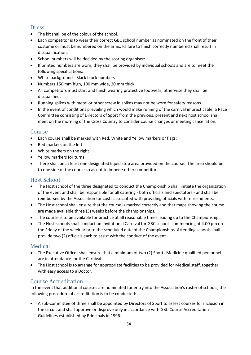## Dress

- The kit shall be of the colour of the school.
- Each competitor is to wear their correct GBC school number as nominated on the front of their costume or must be numbered on the arms. Failure to finish correctly numbered shall result in disqualification.
- School numbers will be decided by the scoring organiser:
- If printed numbers are worn, they shall be provided by individual schools and are to meet the following specifications:
- White background Black block numbers
- Numbers 150 mm high, 100 mm wide, 20 mm thick.
- All competitors must start and finish wearing protective footwear, otherwise they shall be disqualified.
- Running spikes with metal or other screw in spikes may not be worn for safety reasons.
- In the event of conditions prevailing which would make running of the carnival impracticable, a Race Committee consisting of Directors of Sport from the previous, present and next host school shall meet on the morning of the Cross Country to consider course changes or meeting cancellation.

#### Course

- Each course shall be marked with Red, White and Yellow markers or flags:
- Red markers on the left
- White markers on the right
- Yellow markers for turns
- There shall be at least one designated liquid stop area provided on the course. The area should be to one side of the course so as not to impede other competitors.

## Host School

- The Host school of the three designated to conduct the Championship shall initiate the organization of the event and shall be responsible for all catering - both officials and spectators - and shall be reimbursed by the Association for costs associated with providing officials with refreshments.
- The Host school shall ensure that the course is marked correctly and that maps showing the course are made available three (3) weeks before the championships.
- The course is to be available for practice at all reasonable times leading up to the Championship.
- The Host schools shall conduct an Invitational Carnival for GBC schools commencing at 4.00 pm on the Friday of the week prior to the scheduled date of the Championships. Attending schools shall provide two (2) officials each to assist with the conduct of the event.

## Medical

- The Executive Officer shall ensure that a minimum of two (2) Sports Medicine qualified personnel are in attendance for the Carnival.
- The Host school is to arrange for appropriate facilities to be provided for Medical staff, together with easy access to a Doctor.

## Course Accreditation

In the event that additional courses are nominated for entry into the Association's roster of schools, the following procedure of accreditation is to be conducted:

• A sub-committee of three shall be appointed by Directors of Sport to assess courses for inclusion in the circuit and shall approve or disprove only in accordance with GBC Course Accreditation Guidelines established by Principals in 1996.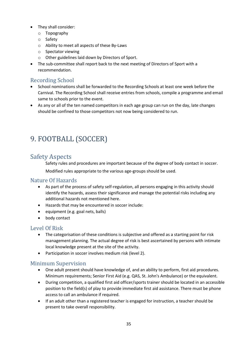- They shall consider:
	- o Topography
	- o Safety
	- o Ability to meet all aspects of these By-Laws
	- o Spectator viewing
	- o Other guidelines laid down by Directors of Sport.
- The sub-committee shall report back to the next meeting of Directors of Sport with a recommendation.

## Recording School

- School nominations shall be forwarded to the Recording Schools at least one week before the Carnival. The Recording School shall receive entries from schools, compile a programme and email same to schools prior to the event.
- As any or all of the ten named competitors in each age group can run on the day, late changes should be confined to those competitors not now being considered to run.

# <span id="page-34-0"></span>9. FOOTBALL (SOCCER)

# <span id="page-34-1"></span>Safety Aspects

Safety rules and procedures are important because of the degree of body contact in soccer. Modified rules appropriate to the various age-groups should be used.

## Nature Of Hazards

- As part of the process of safety self-regulation, all persons engaging in this activity should identify the hazards, assess their significance and manage the potential risks including any additional hazards not mentioned here.
- Hazards that may be encountered in soccer include:
- equipment (e.g. goal nets, balls)
- body contact

## Level Of Risk

- The categorisation of these conditions is subjective and offered as a starting point for risk management planning. The actual degree of risk is best ascertained by persons with intimate local knowledge present at the site of the activity.
- Participation in soccer involves medium risk (level 2).

## Minimum Supervision

- One adult present should have knowledge of, and an ability to perform, first aid procedures. Minimum requirements; Senior First Aid (e.g. QAS, St. John's Ambulance) or the equivalent.
- During competition, a qualified first aid officer/sports trainer should be located in an accessible position to the field(s) of play to provide immediate first aid assistance. There must be phone access to call an ambulance if required.
- If an adult other than a registered teacher is engaged for instruction, a teacher should be present to take overall responsibility.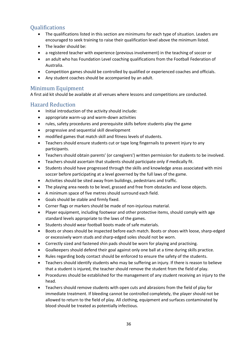# **Oualifications**

- The qualifications listed in this section are minimums for each type of situation. Leaders are encouraged to seek training to raise their qualification level above the minimum listed.
- The leader should be:
- a registered teacher with experience (previous involvement) in the teaching of soccer or
- an adult who has Foundation Level coaching qualifications from the Football Federation of Australia.
- Competition games should be controlled by qualified or experienced coaches and officials.
- Any student coaches should be accompanied by an adult.

## Minimum Equipment

A first aid kit should be available at all venues where lessons and competitions are conducted.

## Hazard Reduction

- Initial introduction of the activity should include:
- appropriate warm-up and warm-down activities
- rules, safety procedures and prerequisite skills before students play the game
- progressive and sequential skill development
- modified games that match skill and fitness levels of students.
- Teachers should ensure students cut or tape long fingernails to prevent injury to any participants.
- Teachers should obtain parents' (or caregivers') written permission for students to be involved.
- Teachers should ascertain that students should participate only if medically fit.
- Students should have progressed through the skills and knowledge areas associated with mini soccer before participating at a level governed by the full laws of the game.
- Activities should be sited away from buildings, pedestrians and traffic.
- The playing area needs to be level, grassed and free from obstacles and loose objects.
- A minimum space of five metres should surround each field.
- Goals should be stable and firmly fixed.
- Corner flags or markers should be made of non-injurious material.
- Player equipment, including footwear and other protective items, should comply with age standard levels appropriate to the laws of the games.
- Students should wear football boots made of safe materials.
- Boots or shoes should be inspected before each match. Boots or shoes with loose, sharp-edged or excessively worn studs and sharp-edged soles should not be worn.
- Correctly sized and fastened shin pads should be worn for playing and practising.
- Goalkeepers should defend their goal against only one ball at a time during skills practice.
- Rules regarding body contact should be enforced to ensure the safety of the students.
- Teachers should identify students who may be suffering an injury. If there is reason to believe that a student is injured, the teacher should remove the student from the field of play.
- Procedures should be established for the management of any student receiving an injury to the head.
- Teachers should remove students with open cuts and abrasions from the field of play for immediate treatment. If bleeding cannot be controlled completely, the player should not be allowed to return to the field of play. All clothing, equipment and surfaces contaminated by blood should be treated as potentially infectious.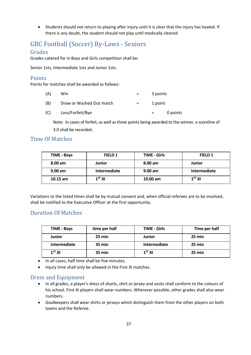• Students should not return to playing after injury until it is clear that the injury has healed. If there is any doubt, the student should not play until medically cleared.

# GBC Football (Soccer) By-Laws - Seniors

#### Grades

Grades catered for in Boys and Girls competition shall be:

Senior 1sts, Intermediate 1sts and Junior 1sts.

#### **Points**

Points for matches shall be awarded as follows:

| (A) | Win                      | $=$ | 3 points |          |
|-----|--------------------------|-----|----------|----------|
| (B) | Draw or Washed Out match | $=$ | 1 point  |          |
| (C) | Loss/Forfeit/Bye         |     |          | 0 points |

Note: In cases of forfeit, as well as three points being awarded to the winner, a scoreline of 3-0 shall be recorded.

#### Time Of Matches

| <b>TIME - Boys</b> | FIELD 1      | <b>TIME - Girls</b> | FIELD 1       |
|--------------------|--------------|---------------------|---------------|
| $8.00 \text{ am}$  | Junior       | 8.00 am             | <b>Junior</b> |
| $9.00$ am          | Intermediate | 9.00 am             | Intermediate  |
| $10.15$ am         | $1^{5}$ XI   | $10.00$ am          | $1^{5}$ XI    |

Variations to the listed times shall be by mutual consent and, when official referees are to be involved, shall be notified to the Executive Officer at the first opportunity.

## Duration Of Matches

| <b>TIME - Boys</b> | time per half | <b>TIME - Girls</b> | Time per half |
|--------------------|---------------|---------------------|---------------|
| <b>Junior</b>      | 25 min        | <b>Junior</b>       | 25 min        |
| Intermediate       | 35 min        | Intermediate        | 25 min        |
| 1 <sup>ST</sup> XI | 35 min        | 1 <sup>ST</sup> XI  | 25 min        |

- In all cases, half time shall be five minutes.
- Injury time shall only be allowed in the First XI matches.

## Dress and Equipment

- In all grades, a player's dress of shorts, shirt or jersey and socks shall conform to the colours of his school. First XI players shall wear numbers. Wherever possible, other grades shall also wear numbers.
- Goalkeepers shall wear shirts or jerseys which distinguish them from the other players on both teams and the Referee.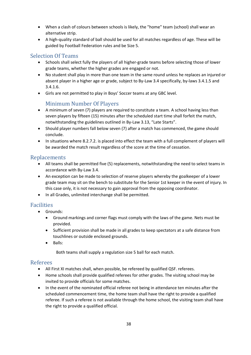- When a clash of colours between schools is likely, the "home" team (school) shall wear an alternative strip.
- A high-quality standard of ball should be used for all matches regardless of age. These will be guided by Football Federation rules and be Size 5.

# Selection Of Teams

- Schools shall select fully the players of all higher-grade teams before selecting those of lower grade teams, whether the higher grades are engaged or not.
- No student shall play in more than one team in the same round unless he replaces an injured or absent player in a higher age or grade, subject to By-Law 3.4 specifically, by-laws 3.4.1.5 and 3.4.1.6.
- Girls are not permitted to play in Boys' Soccer teams at any GBC level.

## Minimum Number Of Players

- A minimum of seven (7) players are required to constitute a team. A school having less than seven players by fifteen (15) minutes after the scheduled start time shall forfeit the match, notwithstanding the guidelines outlined in By-Law 3.13, "Late Starts".
- Should player numbers fall below seven (7) after a match has commenced, the game should conclude.
- In situations where 8.2.7.2. is placed into effect the team with a full complement of players will be awarded the match result regardless of the score at the time of cessation.

## Replacements

- All teams shall be permitted five (5) replacements, notwithstanding the need to select teams in accordance with By-Law 3.4.
- An exception can be made to selection of reserve players whereby the goalkeeper of a lower grade team may sit on the bench to substitute for the Senior 1st keeper in the event of injury. In this case only, it is not necessary to gain approval from the opposing coordinator.
- In all Grades, unlimited interchange shall be permitted.

# Facilities

- Grounds:
	- Ground markings and corner flags must comply with the laws of the game. Nets must be provided.
	- Sufficient provision shall be made in all grades to keep spectators at a safe distance from touchlines or outside enclosed grounds.
	- Balls:

Both teams shall supply a regulation size 5 ball for each match.

## Referees

- All First XI matches shall, when possible, be refereed by qualified QSF. referees.
- Home schools shall provide qualified referees for other grades. The visiting school may be invited to provide officials for some matches.
- In the event of the nominated official referee not being in attendance ten minutes after the scheduled commencement time, the home team shall have the right to provide a qualified referee. If such a referee is not available through the home school, the visiting team shall have the right to provide a qualified official.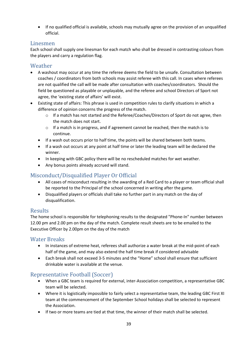• If no qualified official is available, schools may mutually agree on the provision of an unqualified official.

## Linesmen

Each school shall supply one linesman for each match who shall be dressed in contrasting colours from the players and carry a regulation flag.

## Weather

- A washout may occur at any time the referee deems the field to be unsafe. Consultation between coaches / coordinators from both schools may assist referee with this call. In cases where referees are not qualified the call will be made after consultation with coaches/coordinators. Should the field be questioned as playable or unplayable, and the referee and school Directors of Sport not agree, the 'existing state of affairs' will exist.
- Existing state of affairs: This phrase is used in competition rules to clarify situations in which a difference of opinion concerns the progress of the match.
	- o If a match has not started and the Referee/Coaches/Directors of Sport do not agree, then the match does not start.
	- $\circ$  If a match is in progress, and if agreement cannot be reached, then the match is to continue.
	- If a wash out occurs prior to half time, the points will be shared between both teams.
	- If a wash out occurs at any point at half time or later the leading team will be declared the winner.
	- In keeping with GBC policy there will be no rescheduled matches for wet weather.
	- Any bonus points already accrued will stand.

## Misconduct/Disqualified Player Or Official

- All cases of misconduct resulting in the awarding of a Red Card to a player or team official shall be reported to the Principal of the school concerned in writing after the game.
- Disqualified players or officials shall take no further part in any match on the day of disqualification.

## Results

The home school is responsible for telephoning results to the designated "Phone-In" number between 12.00 pm and 2.00 pm on the day of the match. Complete result sheets are to be emailed to the Executive Officer by 2.00pm on the day of the match

## Water Breaks

- In instances of extreme heat, referees shall authorize a water break at the mid-point of each half of the game, and may also extend the half time break if considered advisable
- Each break shall not exceed 3-5 minutes and the "Home" school shall ensure that sufficient drinkable water is available at the venue.

## Representative Football (Soccer)

- When a GBC team is required for external, inter-Association competition, a representative GBC team will be selected.
- Where it is logistically impossible to fairly select a representative team, the leading GBC First XI team at the commencement of the September School holidays shall be selected to represent the Association.
- If two or more teams are tied at that time, the winner of their match shall be selected.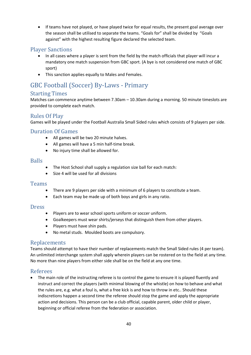• If teams have not played, or have played twice for equal results, the present goal average over the season shall be utilised to separate the teams. "Goals for" shall be divided by "Goals against" with the highest resulting figure declared the selected team.

## Player Sanctions

- In all cases where a player is sent from the field by the match officials that player will incur a mandatory one match suspension from GBC sport. (A bye is not considered one match of GBC sport)
- This sanction applies equally to Males and Females.

# GBC Football (Soccer) By-Laws - Primary

## Starting Times

Matches can commence anytime between 7.30am – 10.30am during a morning. 50 minute timeslots are provided to complete each match.

## Rules Of Play

Games will be played under the Football Australia Small Sided rules which consists of 9 players per side.

## Duration Of Games

- All games will be two 20 minute halves.
- All games will have a 5 min half-time break.
- No injury time shall be allowed for.

#### Balls

- The Host School shall supply a regulation size ball for each match:
- Size 4 will be used for all divisions

#### **Teams**

- There are 9 players per side with a minimum of 6 players to constitute a team.
- Each team may be made up of both boys and girls in any ratio.

#### **Dress**

- Players are to wear school sports uniform or soccer uniform.
- Goalkeepers must wear shirts/jerseys that distinguish them from other players.
- Players must have shin pads.
- No metal studs. Moulded boots are compulsory.

#### Replacements

Teams should attempt to have their number of replacements match the Small Sided rules (4 per team). An unlimited interchange system shall apply wherein players can be rostered on to the field at any time. No more than nine players from either side shall be on the field at any one time.

## Referees

• The main role of the instructing referee is to control the game to ensure it is played fluently and instruct and correct the players (with minimal blowing of the whistle) on how to behave and what the rules are, e.g. what a foul is, what a free kick is and how to throw in etc.. Should these indiscretions happen a second time the referee should stop the game and apply the appropriate action and decisions. This person can be a club official, capable parent, older child or player, beginning or official referee from the federation or association.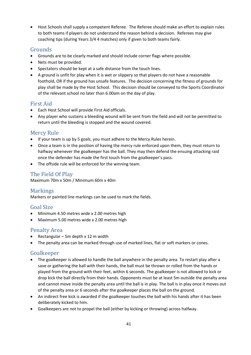• Host Schools shall supply a competent Referee. The Referee should make an effort to explain rules to both teams if players do not understand the reason behind a decision. Referees may give coaching tips (during Years 3/4 4 matches) only if given to both teams fairly.

## Grounds

- Grounds are to be clearly marked and should include corner flags where possible.
- Nets must be provided.
- Spectators should be kept at a safe distance from the touch lines.
- A ground is unfit for play when it is wet or slippery so that players do not have a reasonable foothold, OR if the ground has unsafe features. The decision concerning the fitness of grounds for play shall be made by the Host School. This decision should be conveyed to the Sports Coordinator of the relevant school no later than 6.00am on the day of play.

## First Aid

- Each Host School will provide First Aid officials.
- Any player who sustains a bleeding wound will be sent from the field and will not be permitted to return until the bleeding is stopped and the wound covered.

## Mercy Rule

- If your team is up by 5 goals, you must adhere to the Mercy Rules herein.
- Once a team is in the position of having the mercy rule enforced upon them, they must return to halfway whenever the goalkeeper has the ball. They may then defend the ensuing attacking raid once the defender has made the first touch from the goalkeeper's pass.
- The offside rule will be enforced for the winning team.

## The Field Of Play

Maximum 70m x 50m / Minimum 60m x 40m

## Markings

Markers or painted line markings can be used to mark the fields.

## Goal Size

- Minimum 4.50 metres wide x 2.00 metres high
- Maximum 5.00 metres wide x 2.00 metres high

#### Penalty Area

- Rectangular 5m depth x 12 m width
- The penalty area can be marked through use of marked lines, flat or soft markers or cones.

#### Goalkeeper

- The goalkeeper is allowed to handle the ball anywhere in the penalty area. To restart play after a save or gathering the ball with their hands, the ball must be thrown or rolled from the hands or played from the ground with their feet, within 6 seconds. The goalkeeper is not allowed to kick or drop kick the ball directly from their hands. Opponents must be at least 5m outside the penalty area and cannot move inside the penalty area until the ball is in play. The ball is in play once it moves out of the penalty area or 6 seconds after the goalkeeper places the ball on the ground.
- An indirect free kick is awarded if the goalkeeper touches the ball with his hands after it has been deliberately kicked to him.
- Goalkeepers are not to propel the ball (either by kicking or throwing) across halfway.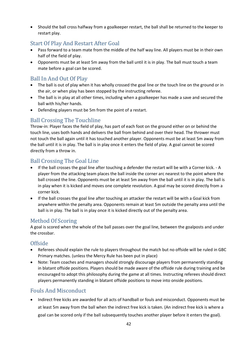• Should the ball cross halfway from a goalkeeper restart, the ball shall be returned to the keeper to restart play.

## Start Of Play And Restart After Goal

- Pass forward to a team mate from the middle of the half way line. All players must be in their own half of the field of play.
- Opponents must be at least 5m away from the ball until it is in play. The ball must touch a team mate before a goal can be scored.

# Ball In And Out Of Play

- The ball is out of play when it has wholly crossed the goal line or the touch line on the ground or in the air, or when play has been stopped by the instructing referee.
- The ball is in play at all other times, including when a goalkeeper has made a save and secured the ball with his/her hands.
- Defending players must be 5m from the point of a restart.

# Ball Crossing The Touchline

Throw-in: Player faces the field of play, has part of each foot on the ground either on or behind the touch line, uses both hands and delivers the ball from behind and over their head. The thrower must not touch the ball again until it has touched another player. Opponents must be at least 5m away from the ball until it is in play. The ball is in play once it enters the field of play. A goal cannot be scored directly from a throw in.

## Ball Crossing The Goal Line

- If the ball crosses the goal line after touching a defender the restart will be with a Corner kick. A player from the attacking team places the ball inside the corner arc nearest to the point where the ball crossed the line. Opponents must be at least 5m away from the ball until it is in play. The ball is in play when it is kicked and moves one complete revolution. A goal may be scored directly from a corner kick.
- If the ball crosses the goal line after touching an attacker the restart will be with a Goal kick from anywhere within the penalty area. Opponents remain at least 5m outside the penalty area until the ball is in play. The ball is in play once it is kicked directly out of the penalty area.

## Method Of Scoring

A goal is scored when the whole of the ball passes over the goal line, between the goalposts and under the crossbar.

## Offside

- Referees should explain the rule to players throughout the match but no offside will be ruled in GBC Primary matches. (unless the Mercy Rule has been put in place)
- Note: Team coaches and managers should strongly discourage players from permanently standing in blatant offside positions. Players should be made aware of the offside rule during training and be encouraged to adopt this philosophy during the game at all times. Instructing referees should direct players permanently standing in blatant offside positions to move into onside positions.

# Fouls And Misconduct

• Indirect free kicks are awarded for all acts of handball or fouls and misconduct. Opponents must be at least 5m away from the ball when the indirect free kick is taken. (An indirect free kick is where a goal can be scored only if the ball subsequently touches another player before it enters the goal).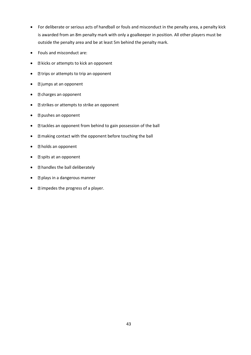- For deliberate or serious acts of handball or fouls and misconduct in the penalty area, a penalty kick is awarded from an 8m penalty mark with only a goalkeeper in position. All other players must be outside the penalty area and be at least 5m behind the penalty mark.
- Fouls and misconduct are:
- **I** kicks or attempts to kick an opponent
- **I** trips or attempts to trip an opponent
- **I** jumps at an opponent
- **P** charges an opponent
- **Exercises** or attempts to strike an opponent
- **P** pushes an opponent
- **I** tackles an opponent from behind to gain possession of the ball
- **Inaking contact with the opponent before touching the ball**
- **Indus** an opponent
- $\bullet$  **2** spits at an opponent
- **nandles the ball deliberately**
- $\bullet$  **e plays in a dangerous manner**
- $\bullet$  **impedes the progress of a player.**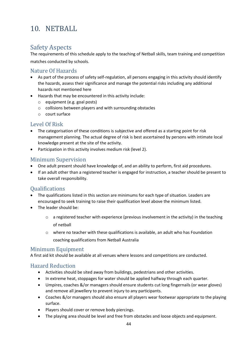# 10. NETBALL

# Safety Aspects

The requirements of this schedule apply to the teaching of Netball skills, team training and competition

matches conducted by schools.

## Nature Of Hazards

- As part of the process of safety self-regulation, all persons engaging in this activity should identify the hazards, assess their significance and manage the potential risks including any additional hazards not mentioned here
- Hazards that may be encountered in this activity include:
	- o equipment (e.g. goal posts)
	- o collisions between players and with surrounding obstacles
	- o court surface

## Level Of Risk

- The categorisation of these conditions is subjective and offered as a starting point for risk management planning. The actual degree of risk is best ascertained by persons with intimate local knowledge present at the site of the activity.
- Participation in this activity involves medium risk (level 2).

# Minimum Supervision

- One adult present should have knowledge of, and an ability to perform, first aid procedures.
- If an adult other than a registered teacher is engaged for instruction, a teacher should be present to take overall responsibility.

## **Oualifications**

- The qualifications listed in this section are minimums for each type of situation. Leaders are encouraged to seek training to raise their qualification level above the minimum listed.
- The leader should be:
	- $\circ$  a registered teacher with experience (previous involvement in the activity) in the teaching of netball
	- o where no teacher with these qualifications is available, an adult who has Foundation coaching qualifications from Netball Australia

## Minimum Equipment

A first aid kit should be available at all venues where lessons and competitions are conducted.

## Hazard Reduction

- Activities should be sited away from buildings, pedestrians and other activities.
- In extreme heat, stoppages for water should be applied halfway through each quarter.
- Umpires, coaches &/or managers should ensure students cut long fingernails (or wear gloves) and remove all jewellery to prevent injury to any participants.
- Coaches &/or managers should also ensure all players wear footwear appropriate to the playing surface.
- Players should cover or remove body piercings.
- The playing area should be level and free from obstacles and loose objects and equipment.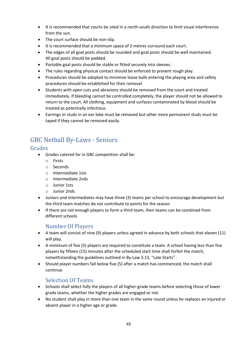- It is recommended that courts be sited in a north-south direction to limit visual interference from the sun.
- The court surface should be non-slip.
- It is recommended that a minimum space of 2 metres surround each court.
- The edges of all goal posts should be rounded and goal posts should be well maintained. All goal posts should be padded.
- Portable goal posts should be stable or fitted securely into sleeves.
- The rules regarding physical contact should be enforced to prevent rough play.
- Procedures should be adopted to minimise loose balls entering the playing area and safety procedures should be established for their removal.
- Students with open cuts and abrasions should be removed from the court and treated immediately. If bleeding cannot be controlled completely, the player should not be allowed to return to the court. All clothing, equipment and surfaces contaminated by blood should be treated as potentially infectious.
- Earrings or studs in an ear lobe must be removed but other more permanent studs must be taped if they cannot be removed easily.

# GBC Netball By-Laws - Seniors

#### Grades

- Grades catered for in GBC competition shall be:
	- o Firsts
	- o Seconds
	- o Intermediate 1sts
	- o Intermediate 2nds
	- o Junior 1sts
	- o Junior 2nds
- Juniors and Intermediates may have three (3) teams per school to encourage development but the third team matches do not contribute to points for the season
- If there are not enough players to form a third team, then teams can be combined from different schools

## Number Of Players

- A team will consist of nine (9) players unless agreed in advance by both schools that eleven (11) will play.
- A minimum of five (5) players are required to constitute a team. A school having less than five players by fifteen (15) minutes after the scheduled start time shall forfeit the match, notwithstanding the guidelines outlined in By-Law 3.13, "Late Starts".
- Should player numbers fall below five (5) after a match has commenced, the match shall continue.

## Selection Of Teams

- Schools shall select fully the players of all higher-grade teams before selecting those of lower grade teams, whether the higher grades are engaged or not.
- No student shall play in more than one team in the same round unless he replaces an injured or absent player in a higher age or grade.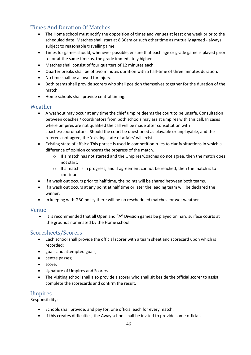# Times And Duration Of Matches

- The Home school must notify the opposition of times and venues at least one week prior to the scheduled date. Matches shall start at 8.30am or such other time as mutually agreed - always subject to reasonable travelling time.
- Times for games should, whenever possible, ensure that each age or grade game is played prior to, or at the same time as, the grade immediately higher.
- Matches shall consist of four quarters of 12 minutes each.
- Quarter breaks shall be of two minutes duration with a half-time of three minutes duration.
- No time shall be allowed for injury.
- Both teams shall provide scorers who shall position themselves together for the duration of the match.
- Home schools shall provide central timing.

#### Weather

- A washout may occur at any time the chief umpire deems the court to be unsafe. Consultation between coaches / coordinators from both schools may assist umpires with this call. In cases where umpires are not qualified the call will be made after consultation with coaches/coordinators. Should the court be questioned as playable or unplayable, and the referees not agree, the 'existing state of affairs' will exist.
- Existing state of affairs: This phrase is used in competition rules to clarify situations in which a difference of opinion concerns the progress of the match.
	- $\circ$  If a match has not started and the Umpires/Coaches do not agree, then the match does not start.
	- o If a match is in progress, and if agreement cannot be reached, then the match is to continue.
- If a wash out occurs prior to half time, the points will be shared between both teams.
- If a wash out occurs at any point at half time or later the leading team will be declared the winner.
- In keeping with GBC policy there will be no rescheduled matches for wet weather.

#### Venue

• It is recommended that all Open and "A" Division games be played on hard surface courts at the grounds nominated by the Home school.

## Scoresheets/Scorers

- Each school shall provide the official scorer with a team sheet and scorecard upon which is recorded:
- goals and attempted goals;
- centre passes;
- score;
- signature of Umpires and Scorers.
- The Visiting school shall also provide a scorer who shall sit beside the official scorer to assist, complete the scorecards and confirm the result.

## Umpires

Responsibility:

- Schools shall provide, and pay for, one official each for every match.
- If this creates difficulties, the Away school shall be invited to provide some officials.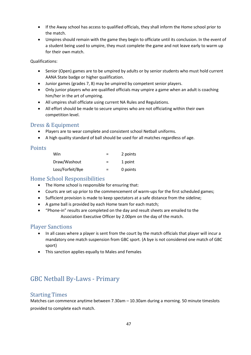- If the Away school has access to qualified officials, they shall inform the Home school prior to the match.
- Umpires should remain with the game they begin to officiate until its conclusion. In the event of a student being used to umpire, they must complete the game and not leave early to warm up for their own match.

Qualifications:

- Senior (Open) games are to be umpired by adults or by senior students who must hold current AANA State badge or higher qualification.
- Junior games (grades 7, 8) may be umpired by competent senior players.
- Only junior players who are qualified officials may umpire a game when an adult is coaching him/her in the art of umpiring.
- All umpires shall officiate using current NA Rules and Regulations.
- All effort should be made to secure umpires who are not officiating within their own competition level.

#### Dress & Equipment

- Players are to wear complete and consistent school Netball uniforms.
- A high quality standard of ball should be used for all matches regardless of age.

## **Points**

| Win              | $=$ | 2 points |
|------------------|-----|----------|
| Draw/Washout     | $=$ | 1 point  |
| Loss/Forfeit/Bye | $=$ | 0 points |

## Home School Responsibilities

- The Home school is responsible for ensuring that:
- Courts are set up prior to the commencement of warm-ups for the first scheduled games;
- Sufficient provision is made to keep spectators at a safe distance from the sideline;
- A game ball is provided by each Home team for each match;
- "Phone-in" results are completed on the day and result sheets are emailed to the Association Executive Officer by 2.00pm on the day of the match.

## Player Sanctions

- In all cases where a player is sent from the court by the match officials that player will incur a mandatory one match suspension from GBC sport. (A bye is not considered one match of GBC sport)
- This sanction applies equally to Males and Females

# GBC Netball By-Laws - Primary

## Starting Times

Matches can commence anytime between 7.30am – 10.30am during a morning. 50 minute timeslots provided to complete each match.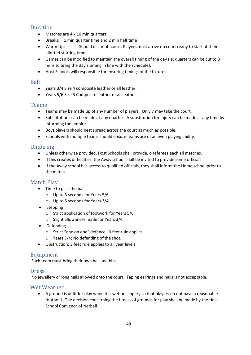# **Duration**

- Matches are 4 x 10 min quarters
- Breaks: 1 min quarter time and 2 min half time
- Warm Up: Should occur off court. Players must arrive on court ready to start at their allotted starting time.
- Games can be modified to maintain the overall timing of the day (ie: quarters can be cut to 8 mins to bring the day's timing in line with the schedule).
- Host Schools will responsible for ensuring timings of the fixtures.

#### Ball

- Years 3/4 Size 4 composite leather or all leather.
- Years 5/6 Size 5 Composite leather or all leather.

#### Teams

- Teams may be made up of any number of players. Only 7 may take the court.
- Substitutions can be made at any quarter. A substitution for injury can be made at any time by informing the umpire.
- Boys players should best spread across the court as much as possible.
- Schools with multiple teams should ensure teams are of an even playing ability.

## Umpiring

- Unless otherwise provided, Host Schools shall provide, o referees each all matches.
- If this creates difficulties, the Away school shall be invited to provide some officials.
- If the Away school has access to qualified officials, they shall inform the Home school prior to the match.

## Match Play

- Time to pass the ball
	- o Up to 3 seconds for Years 5/6
	- o Up to 5 seconds for Years 3/4.
- Stepping
	- o Strict application of footwork for Years 5/6
	- o Slight allowances made for Years 3/4.
- Defending
	- o Strict "one on one" defence. 3 feet rule applies.
	- o Years 3/4; No defending of the shot.
- Obstruction: 3 feet rule applies to all year levels.

## Equipment

Each team must bring their own ball and bibs.

#### **Dress**

No jewellery or long nails allowed onto the court. Taping earrings and nails is not acceptable.

## Wet Weather

• A ground is unfit for play when it is wet or slippery so that players do not have a reasonable foothold. The decision concerning the fitness of grounds for play shall be made by the Host School Convenor of Netball.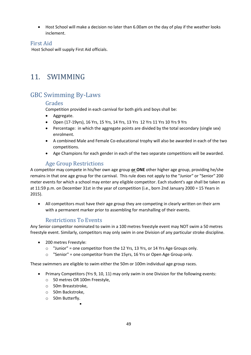• Host School will make a decision no later than 6.00am on the day of play if the weather looks inclement.

## First Aid

Host School will supply First Aid officials.

# 11. SWIMMING

# GBC Swimming By-Laws

## Grades

Competition provided in each carnival for both girls and boys shall be:

- Aggregate.
- Open (17-19yrs), 16 Yrs, 15 Yrs, 14 Yrs, 13 Yrs 12 Yrs 11 Yrs 10 Yrs 9 Yrs
- Percentage: in which the aggregate points are divided by the total secondary (single sex) enrolment.
- A combined Male and Female Co-educational trophy will also be awarded in each of the two competitions.
- Age Champions for each gender in each of the two separate competitions will be awarded.

## Age Group Restrictions

A competitor may compete in his/her own age group **or ONE** other higher age group, providing he/she remains in that one age group for the carnival. This rule does not apply to the "Junior" or "Senior" 200 meter events for which a school may enter any eligible competitor. Each student's age shall be taken as at 11:59 p.m. on December 31st in the year of competition (i.e., born 2nd January 2000 = 15 Years in 2015).

• All competitors must have their age group they are competing in clearly written on their arm with a permanent marker prior to assembling for marshalling of their events.

## Restrictions To Events

Any Senior competitor nominated to swim in a 100 metres freestyle event may NOT swim a 50 metres freestyle event. Similarly, competitors may only swim in one Division of any particular stroke discipline.

- 200 metres Freestyle:
	- $\circ$  "Junior" = one competitor from the 12 Yrs, 13 Yrs, or 14 Yrs Age Groups only.
	- o "Senior" = one competitor from the 15yrs, 16 Yrs or Open Age Group only.

These swimmers are eligible to swim either the 50m or 100m individual age group races.

- Primary Competitors (Yrs 9, 10, 11) may only swim in one Division for the following events:
	- o 50 metres OR 100m Freestyle,

▪

- o 50m Breaststroke,
- o 50m Backstroke,
- o 50m Butterfly.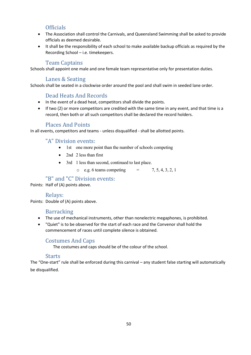## **Officials**

- The Association shall control the Carnivals, and Queensland Swimming shall be asked to provide officials as deemed desirable.
- It shall be the responsibility of each school to make available backup officials as required by the Recording School – i.e. timekeepers.

## Team Captains

Schools shall appoint one male and one female team representative only for presentation duties.

## Lanes & Seating

Schools shall be seated in a clockwise order around the pool and shall swim in seeded lane order.

## Dead Heats And Records

- In the event of a dead heat, competitors shall divide the points.
- If two (2) or more competitors are credited with the same time in any event, and that time is a record, then both or all such competitors shall be declared the record holders.

#### Places And Points

In all events, competitors and teams - unless disqualified - shall be allotted points.

## "A" Division events:

- 1st one more point than the number of schools competing
- 2nd 2 less than first
- 3rd 1 less than second, continued to last place.
	- $\circ$  e.g. 6 teams competing  $=$  7, 5, 4, 3, 2, 1

## "B" and "C" Division events:

Points: Half of (A) points above.

## Relays:

Points: Double of (A) points above.

## Barracking

- The use of mechanical instruments, other than nonelectric megaphones, is prohibited.
- "Quiet" is to be observed for the start of each race and the Convenor shall hold the commencement of races until complete silence is obtained.

## Costumes And Caps

The costumes and caps should be of the colour of the school.

#### **Starts**

The "One-start" rule shall be enforced during this carnival – any student false starting will automatically be disqualified.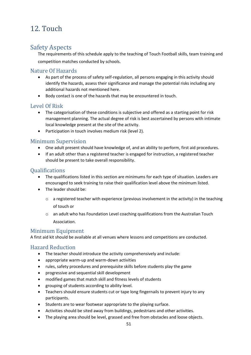# 12. Touch

# Safety Aspects

The requirements of this schedule apply to the teaching of Touch Football skills, team training and competition matches conducted by schools.

## Nature Of Hazards

- As part of the process of safety self-regulation, all persons engaging in this activity should identify the hazards, assess their significance and manage the potential risks including any additional hazards not mentioned here.
- Body contact is one of the hazards that may be encountered in touch.

## Level Of Risk

- The categorisation of these conditions is subjective and offered as a starting point for risk management planning. The actual degree of risk is best ascertained by persons with intimate local knowledge present at the site of the activity.
- Participation in touch involves medium risk (level 2).

## Minimum Supervision

- One adult present should have knowledge of, and an ability to perform, first aid procedures.
- If an adult other than a registered teacher is engaged for instruction, a registered teacher should be present to take overall responsibility.

## Qualifications

- The qualifications listed in this section are minimums for each type of situation. Leaders are encouraged to seek training to raise their qualification level above the minimum listed.
- The leader should be:
	- $\circ$  a registered teacher with experience (previous involvement in the activity) in the teaching of touch or
	- o an adult who has Foundation Level coaching qualifications from the Australian Touch Association.

## Minimum Equipment

A first aid kit should be available at all venues where lessons and competitions are conducted.

## Hazard Reduction

- The teacher should introduce the activity comprehensively and include:
- appropriate warm-up and warm-down activities
- rules, safety procedures and prerequisite skills before students play the game
- progressive and sequential skill development
- modified games that match skill and fitness levels of students
- grouping of students according to ability level.
- Teachers should ensure students cut or tape long fingernails to prevent injury to any participants.
- Students are to wear footwear appropriate to the playing surface.
- Activities should be sited away from buildings, pedestrians and other activities.
- The playing area should be level, grassed and free from obstacles and loose objects.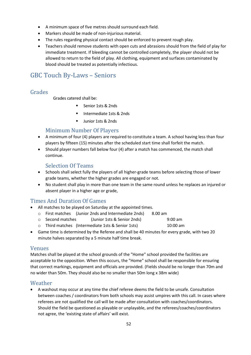- A minimum space of five metres should surround each field.
- Markers should be made of non-injurious material.
- The rules regarding physical contact should be enforced to prevent rough play.
- Teachers should remove students with open cuts and abrasions should from the field of play for immediate treatment. If bleeding cannot be controlled completely, the player should not be allowed to return to the field of play. All clothing, equipment and surfaces contaminated by blood should be treated as potentially infectious.

# GBC Touch By-Laws – Seniors

## Grades

Grades catered shall be:

- Senior 1sts & 2nds
- Intermediate 1sts & 2nds
- Junior 1sts & 2nds

## Minimum Number Of Players

- A minimum of four (4) players are required to constitute a team. A school having less than four players by fifteen (15) minutes after the scheduled start time shall forfeit the match.
- Should player numbers fall below four (4) after a match has commenced, the match shall continue.

## Selection Of Teams

- Schools shall select fully the players of all higher-grade teams before selecting those of lower grade teams, whether the higher grades are engaged or not.
- No student shall play in more than one team in the same round unless he replaces an injured or absent player in a higher age or grade,

## Times And Duration Of Games

- All matches to be played on Saturday at the appointed times.
	- o First matches (Junior 2nds and Intermediate 2nds) 8.00 am
	- o Second matches (Junior 1sts & Senior 2nds) 9:00 am
	- o Third matches (Intermediate 1sts & Senior 1sts) 10:00 am
- Game time is determined by the Referee and shall be 40 minutes for every grade, with two 20 minute halves separated by a 5 minute half time break.

#### Venues

Matches shall be played at the school grounds of the "Home" school provided the facilities are acceptable to the opposition. When this occurs, the "Home" school shall be responsible for ensuring that correct markings, equipment and officials are provided. (Fields should be no longer than 70m and no wider than 50m. They should also be no smaller than 50m long x 38m wide)

## Weather

• A washout may occur at any time the chief referee deems the field to be unsafe. Consultation between coaches / coordinators from both schools may assist umpires with this call. In cases where referees are not qualified the call will be made after consultation with coaches/coordinators. Should the field be questioned as playable or unplayable, and the referees/coaches/coordinators not agree, the 'existing state of affairs' will exist.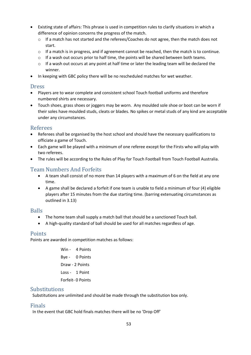- Existing state of affairs: This phrase is used in competition rules to clarify situations in which a difference of opinion concerns the progress of the match.
	- o If a match has not started and the referees/Coaches do not agree, then the match does not start.
	- o If a match is in progress, and if agreement cannot be reached, then the match is to continue.
	- $\circ$  If a wash out occurs prior to half time, the points will be shared between both teams.
	- o If a wash out occurs at any point at half time or later the leading team will be declared the winner.
- In keeping with GBC policy there will be no rescheduled matches for wet weather.

## Dress

- Players are to wear complete and consistent school Touch football uniforms and therefore numbered shirts are necessary.
- Touch shoes, grass shoes or joggers may be worn. Any moulded sole shoe or boot can be worn if their soles have moulded studs, cleats or blades. No spikes or metal studs of any kind are acceptable under any circumstances.

## Referees

- Referees shall be organised by the host school and should have the necessary qualifications to officiate a game of Touch.
- Each game will be played with a minimum of one referee except for the Firsts who will play with two referees.
- The rules will be according to the Rules of Play for Touch Football from Touch Football Australia.

## Team Numbers And Forfeits

- A team shall consist of no more than 14 players with a maximum of 6 on the field at any one time.
- A game shall be declared a forfeit if one team is unable to field a minimum of four (4) eligible players after 15 minutes from the due starting time. (barring extenuating circumstances as outlined in 3.13)

## Balls

- The home team shall supply a match ball that should be a sanctioned Touch ball.
- A high-quality standard of ball should be used for all matches regardless of age.

## Points

Points are awarded in competition matches as follows:

Win - 4 Points Bye - 0 Points Draw - 2 Points Loss - 1 Point Forfeit- 0 Points

## **Substitutions**

Substitutions are unlimited and should be made through the substitution box only.

## Finals

In the event that GBC hold finals matches there will be no 'Drop Off'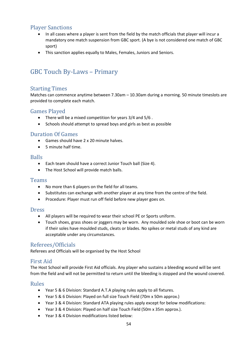# Player Sanctions

- In all cases where a player is sent from the field by the match officials that player will incur a mandatory one match suspension from GBC sport. (A bye is not considered one match of GBC sport)
- This sanction applies equally to Males, Females, Juniors and Seniors.

# GBC Touch By-Laws – Primary

## Starting Times

Matches can commence anytime between 7.30am – 10.30am during a morning. 50 minute timeslots are provided to complete each match.

#### Games Played

- There will be a mixed competition for years 3/4 and 5/6 .
- Schools should attempt to spread boys and girls as best as possible

#### Duration Of Games

- Games should have 2 x 20 minute halves.
- 5 minute half time.

#### Balls

- Each team should have a correct Junior Touch ball (Size 4).
- The Host School will provide match balls.

#### Teams

- No more than 6 players on the field for all teams.
- Substitutes can exchange with another player at any time from the centre of the field.
- Procedure: Player must run off field before new player goes on.

#### Dress

- All players will be required to wear their school PE or Sports uniform.
- Touch shoes, grass shoes or joggers may be worn. Any moulded sole shoe or boot can be worn if their soles have moulded studs, cleats or blades. No spikes or metal studs of any kind are acceptable under any circumstances.

## Referees/Officials

Referees and Officials will be organised by the Host School

## First Aid

The Host School will provide First Aid officials. Any player who sustains a bleeding wound will be sent from the field and will not be permitted to return until the bleeding is stopped and the wound covered.

#### Rules

- Year 5 & 6 Division: Standard A.T.A playing rules apply to all fixtures.
- Year 5 & 6 Division: Played on full size Touch Field (70m x 50m approx.)
- Year 3 & 4 Division: Standard ATA playing rules apply except for below modifications:
- Year 3 & 4 Division: Played on half size Touch Field (50m x 35m approx.).
- Year 3 & 4 Division modifications listed below: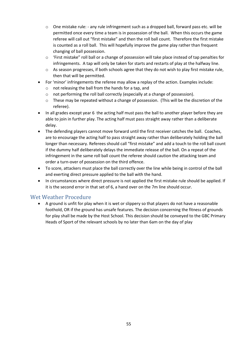- $\circ$  One mistake rule: any rule infringement such as a dropped ball, forward pass etc. will be permitted once every time a team is in possession of the ball. When this occurs the game referee will call out "first mistake" and then the roll ball count. Therefore the first mistake is counted as a roll ball. This will hopefully improve the game play rather than frequent changing of ball possession.
- $\circ$  'First mistake" roll ball or a change of possession will take place instead of tap penalties for infringements. A tap will only be taken for starts and restarts of play at the halfway line.
- $\circ$  As season progresses, if both schools agree that they do not wish to play first mistake rule, then that will be permitted.
- For 'minor' infringements the referee may allow a replay of the action. Examples include:
	- o not releasing the ball from the hands for a tap, and
	- o not performing the roll ball correctly (especially at a change of possession).
	- $\circ$  These may be repeated without a change of possession. (This will be the discretion of the referee).
- In all grades except year 6 the acting half must pass the ball to another player before they are able to join in further play. The acting half must pass straight away rather than a deliberate delay.
- The defending players cannot move forward until the first receiver catches the ball. Coaches, are to encourage the acting half to pass straight away rather than deliberately holding the ball longer than necessary. Referees should call "first mistake" and add a touch to the roll ball count if the dummy half deliberately delays the immediate release of the ball. On a repeat of the infringement in the same roll ball count the referee should caution the attacking team and order a turn-over of possession on the third offence.
- To score, attackers must place the ball correctly over the line while being in control of the ball and exerting direct pressure applied to the ball with the hand.
- In circumstances where direct pressure is not applied the first mistake rule should be applied. If it is the second error in that set of 6, a hand over on the 7m line should occur.

## Wet Weather Procedure

• A ground is unfit for play when it is wet or slippery so that players do not have a reasonable foothold, OR if the ground has unsafe features. The decision concerning the fitness of grounds for play shall be made by the Host School. This decision should be conveyed to the GBC Primary Heads of Sport of the relevant schools by no later than 6am on the day of play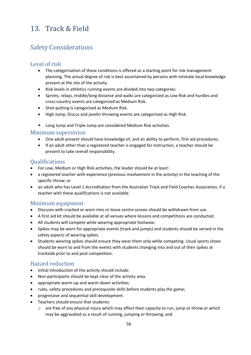# 13. Track & Field

# Safety Considerations

## Level of risk

- The categorisation of these conditions is offered as a starting point for risk management planning. The actual degree of risk is best ascertained by persons with intimate local knowledge present at the site of the activity.
- Risk levels in athletics running events are divided into two categories:
- Sprints, relays, middle/long distance and walks are categorized as Low Risk and hurdles and cross-country events are categorized as Medium Risk.
- Shot-putting is categorised as Medium Risk.
- High Jump, Discus and javelin throwing events are categorised as High Risk.
- Long Jump and Triple Jump are considered Medium Risk activities.

#### Minimum supervision

- One adult present should have knowledge of, and an ability to perform, first aid procedures.
- If an adult other than a registered teacher is engaged for instruction, a teacher should be present to take overall responsibility.

#### **Oualifications**

- For Low, Medium or High Risk activities, the leader should be at least:
- a registered teacher with experience (previous involvement in the activity) in the teaching of the specific throw; or
- an adult who has Level 1 Accreditation from the Australian Track and Field Coaches Association, if a teacher with these qualifications is not available.

## Minimum equipment

- Discuses with cracked or worn rims or loose centre screws should be withdrawn from use.
- A first aid kit should be available at all venues where lessons and competitions are conducted.
- All students will compete while wearing appropriate footwear.
- Spikes may be worn for appropriate events (track and jumps) and students should be versed in the safety aspects of wearing spikes.
- Students wearing spikes should ensure they wear them only while competing. Usual sports shoes should be worn to and from the events with students changing into and out of their spikes at trackside prior to and post competition.

## Hazard reduction

- Initial introduction of the activity should include:
- Non-participants should be kept clear of the activity area.
- appropriate warm-up and warm-down activities;
- rules, safety procedures and prerequisite skills before students play the game;
- progressive and sequential skill development.
- Teachers should ensure that students:
	- $\circ$  are free of any physical injury which may affect their capacity to run, jump or throw or which may be aggravated as a result of running, jumping or throwing; and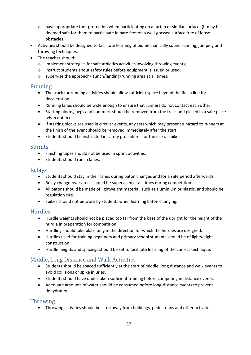- $\circ$  have appropriate foot protection when participating on a tartan or similar surface. (It may be deemed safe for them to participate in bare feet on a well-grassed surface free of loose obstacles.)
- Activities should be designed to facilitate learning of biomechanically sound running, jumping and throwing techniques.
- The teacher should:
	- o implement strategies for safe athletics activities involving throwing events;
	- o instruct students about safety rules before equipment is issued or used;
	- o supervise the approach/launch/landing/running area at all times;

#### Running

- The track for running activities should allow sufficient space beyond the finish line for deceleration.
- Running lanes should be wide enough to ensure that runners do not contact each other.
- Starting blocks, pegs and hammers should be removed from the track and placed in a safe place when not in use.
- If starting blocks are used in circular events, any sets which may present a hazard to runners at the finish of the event should be removed immediately after the start.
- Students should be instructed in safety procedures for the use of spikes.

#### Sprints

- Finishing tapes should not be used in sprint activities.
- Students should run in lanes.

#### Relays

- Students should stay in their lanes during baton changes and for a safe period afterwards.
- Relay change-over areas should be supervised at all times during competition.
- All batons should be made of lightweight material, such as aluminium or plastic, and should be regulation size.
- Spikes should not be worn by students when learning baton changing.

## Hurdles

- Hurdle weights should not be placed too far from the base of the upright for the height of the hurdle in preparation for competition.
- Hurdling should take place only in the direction for which the hurdles are designed.
- Hurdles used for training beginners and primary school students should be of lightweight construction.
- Hurdle heights and spacings should be set to facilitate learning of the correct technique.

## Middle, Long Distance and Walk Activities

- Students should be spaced sufficiently at the start of middle, long distance and walk events to avoid collisions or spike injuries.
- Students should have undertaken sufficient training before competing in distance events.
- Adequate amounts of water should be consumed before long-distance events to prevent dehydration.

## Throwing

• Throwing activities should be sited away from buildings, pedestrians and other activities.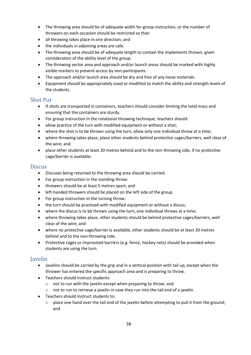- The throwing area should be of adequate width for group instruction, or the number of throwers on each occasion should be restricted so that:
- all throwing takes place in one direction; and
- the individuals in adjoining areas are safe.
- The throwing area should be of adequate length to contain the implements thrown, given consideration of the ability level of the group.
- The throwing sector area and approach and/or launch areas should be marked with highly visible markers to prevent access by non-participants.
- The approach and/or launch area should be dry and free of any loose materials.
- Equipment should be appropriately sized or modified to match the ability and strength levels of the students.

#### Shot Put

- If shots are transported in containers, teachers should consider limiting the total mass and ensuring that the containers are sturdy.
- For group instruction in the rotational throwing technique, teachers should:
- allow practice of the turn with modified equipment or without a shot;
- where the shot is to be thrown using the turn, allow only one individual throw at a time;
- where throwing takes place, place other students behind protective cages/barriers, well clear of the wire; and
- place other students at least 20 metres behind and to the non-throwing side, if no protective cage/barrier is available.

#### **Discus**

- Discuses being returned to the throwing area should be carried.
- For group instruction in the standing throw:
- throwers should be at least 5 metres apart; and
- left-handed throwers should be placed on the left side of the group.
- For group instruction in the turning throw:
- the turn should be practised with modified equipment or without a discus;
- where the discus is to be thrown using the turn, one individual throws at a time;
- where throwing takes place, other students should be behind protective cages/barriers, well clear of the wire; and
- where no protective cage/barrier is available, other students should be at least 20 metres behind and to the non-throwing side.
- Protective cages or improvised barriers (e.g. fence, hockey nets) should be provided when students are using the turn.

#### Javelin

- Javelins should be carried by the grip and in a vertical position with tail up, except when the thrower has entered the specific approach area and is preparing to throw.
- Teachers should instruct students:
	- o not to run with the javelin except when preparing to throw; and
	- o not to run to retrieve a javelin in case they run into the tail end of a javelin.
- Teachers should instruct students to:
	- $\circ$  place one hand over the tail end of the javelin before attempting to pull it from the ground; and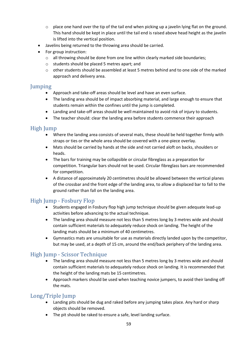- place one hand over the tip of the tail end when picking up a javelin lying flat on the ground. This hand should be kept in place until the tail end is raised above head height as the javelin is lifted into the vertical position.
- Javelins being returned to the throwing area should be carried.
- For group instruction:
	- $\circ$  all throwing should be done from one line within clearly marked side boundaries;
	- o students should be placed 5 metres apart; and
	- o other students should be assembled at least 5 metres behind and to one side of the marked approach and delivery area.

#### Jumping

- Approach and take-off areas should be level and have an even surface.
- The landing area should be of impact absorbing material, and large enough to ensure that students remain within the confines until the jump is completed.
- Landing and take-off areas should be well maintained to avoid risk of injury to students.
- The teacher should: clear the landing area before students commence their approach

## High Jump

- Where the landing area consists of several mats, these should be held together firmly with straps or ties or the whole area should be covered with a one-piece overlay.
- Mats should be carried by hands at the side and not carried aloft on backs, shoulders or heads.
- The bars for training may be collapsible or circular fibreglass as a preparation for competition. Triangular bars should not be used. Circular fibreglass bars are recommended for competition.
- A distance of approximately 20 centimetres should be allowed between the vertical planes of the crossbar and the front edge of the landing area, to allow a displaced bar to fall to the ground rather than fall on the landing area.

## High Jump - Fosbury Flop

- Students engaged in Fosbury flop high jump technique should be given adequate lead-up activities before advancing to the actual technique.
- The landing area should measure not less than 5 metres long by 3 metres wide and should contain sufficient materials to adequately reduce shock on landing. The height of the landing mats should be a minimum of 40 centimetres.
- Gymnastics mats are unsuitable for use as materials directly landed upon by the competitor, but may be used, at a depth of 15 cm, around the end/back periphery of the landing area.

## High Jump - Scissor Technique

- The landing area should measure not less than 5 metres long by 3 metres wide and should contain sufficient materials to adequately reduce shock on landing. It is recommended that the height of the landing mats be 15 centimetres.
- Approach markers should be used when teaching novice jumpers, to avoid their landing off the mats.

## Long/Triple Jump

- Landing pits should be dug and raked before any jumping takes place. Any hard or sharp objects should be removed.
- The pit should be raked to ensure a safe, level landing surface.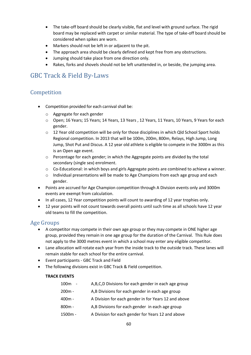- The take-off board should be clearly visible, flat and level with ground surface. The rigid board may be replaced with carpet or similar material. The type of take-off board should be considered when spikes are worn.
- Markers should not be left in or adjacent to the pit.
- The approach area should be clearly defined and kept free from any obstructions.
- Jumping should take place from one direction only.
- Rakes, forks and shovels should not be left unattended in, or beside, the jumping area.

# GBC Track & Field By-Laws

# Competition

- Competition provided for each carnival shall be:
	- o Aggregate for each gender
	- o Open; 16 Years; 15 Years; 14 Years, 13 Years , 12 Years, 11 Years, 10 Years, 9 Years for each gender.
	- $\circ$  12 Year old competition will be only for those disciplines in which Qld School Sport holds Regional competition. In 2013 that will be 100m, 200m, 800m, Relays, High Jump, Long Jump, Shot Put and Discus. A 12 year old athlete is eligible to compete in the 3000m as this is an Open age event.
	- o Percentage for each gender; in which the Aggregate points are divided by the total secondary (single sex) enrolment.
	- o Co-Educational: in which boys and girls Aggregate points are combined to achieve a winner.
	- $\circ$  Individual presentations will be made to Age Champions from each age group and each gender.
- Points are accrued for Age Champion competition through A Division events only and 3000m events are exempt from calculation.
- In all cases, 12 Year competition points will count to awarding of 12 year trophies only.
- 12 year points will not count towards overall points until such time as all schools have 12 year old teams to fill the competition.

## Age Groups

- A competitor may compete in their own age group or they may compete in ONE higher age group, provided they remain in one age group for the duration of the Carnival. This Rule does not apply to the 3000 metres event in which a school may enter any eligible competitor.
- Lane allocation will rotate each year from the inside track to the outside track. These lanes will remain stable for each school for the entire carnival.
- Event participants GBC Track and Field
- The following divisions exist in GBC Track & Field competition.

#### **TRACK EVENTS**

| 100 <sub>m</sub><br>$\sim$ | A,B,C,D Divisions for each gender in each age group  |
|----------------------------|------------------------------------------------------|
| $200m -$                   | A,B Divisions for each gender in each age group      |
| $400m -$                   | A Division for each gender in for Years 12 and above |
| $800m -$                   | A,B Divisions for each gender in each age group      |
| 1500m -                    | A Division for each gender for Years 12 and above    |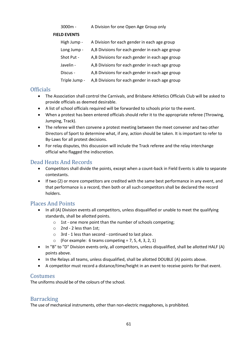#### 3000m - A Division for one Open Age Group only

#### **FIELD EVENTS**

| High Jump -   | A Division for each gender in each age group    |
|---------------|-------------------------------------------------|
| Long Jump -   | A,B Divisions for each gender in each age group |
| Shot Put -    | A,B Divisions for each gender in each age group |
| Javelin -     | A,B Divisions for each gender in each age group |
| Discus -      | A,B Divisions for each gender in each age group |
| Triple Jump - | A,B Divisions for each gender in each age group |

#### **Officials**

- The Association shall control the Carnivals, and Brisbane Athletics Officials Club will be asked to provide officials as deemed desirable.
- A list of school officials required will be forwarded to schools prior to the event.
- When a protest has been entered officials should refer it to the appropriate referee (Throwing, Jumping, Track).
- The referee will then convene a protest meeting between the meet convener and two other Directors of Sport to determine what, if any, action should be taken. It is important to refer to By-Laws for all protest decisions.
- For relay disputes, this discussion will include the Track referee and the relay interchange official who flagged the indiscretion.

## Dead Heats And Records

- Competitors shall divide the points, except when a count-back in Field Events is able to separate contestants.
- If two (2) or more competitors are credited with the same best performance in any event, and that performance is a record, then both or all such competitors shall be declared the record holders.

## Places And Points

- In all (A) Division events all competitors, unless disqualified or unable to meet the qualifying standards, shall be allotted points.
	- o 1st one more point than the number of schools competing;
	- o 2nd 2 less than 1st;
	- o 3rd 1 less than second continued to last place.
	- $\circ$  (For example: 6 teams competing = 7, 5, 4, 3, 2, 1)
- In "B" to "D" Division events only, all competitors, unless disqualified, shall be allotted HALF (A) points above.
- In the Relays all teams, unless disqualified, shall be allotted DOUBLE (A) points above.
- A competitor must record a distance/time/height in an event to receive points for that event.

## Costumes

The uniforms should be of the colours of the school.

## Barracking

The use of mechanical instruments, other than non-electric megaphones, is prohibited.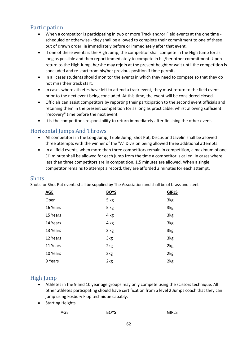# Participation

- When a competitor is participating in two or more Track and/or Field events at the one time scheduled or otherwise - they shall be allowed to complete their commitment to one of these out of drawn order, ie immediately before or immediately after that event.
- If one of these events is the High Jump, the competitor shall compete in the High Jump for as long as possible and then report immediately to compete in his/her other commitment. Upon return to the High Jump, he/she may rejoin at the present height or wait until the competition is concluded and re-start from his/her previous position if time permits.
- In all cases students should monitor the events in which they need to compete so that they do not miss their track start.
- In cases where athletes have left to attend a track event, they must return to the field event prior to the next event being concluded. At this time, the event will be considered closed.
- Officials can assist competitors by reporting their participation to the second event officials and retaining them in the present competition for as long as practicable, whilst allowing sufficient "recovery" time before the next event.
- It is the competitor's responsibility to return immediately after finishing the other event.

## Horizontal Jumps And Throws

- All competitors in the Long Jump, Triple Jump, Shot Put, Discus and Javelin shall be allowed three attempts with the winner of the "A" Division being allowed three additional attempts.
- In all field events, when more than three competitors remain in competition, a maximum of one (1) minute shall be allowed for each jump from the time a competitor is called. In cases where less than three competitors are in competition, 1.5 minutes are allowed. When a single competitor remains to attempt a record, they are afforded 2 minutes for each attempt.

#### Shots

Shots for Shot Put events shall be supplied by The Association and shall be of brass and steel.

| <b>AGE</b> | <b>BOYS</b> | <b>GIRLS</b> |
|------------|-------------|--------------|
| Open       | 5 kg        | 3kg          |
| 16 Years   | 5 kg        | 3kg          |
| 15 Years   | 4 kg        | 3kg          |
| 14 Years   | 4 kg        | 3kg          |
| 13 Years   | 3 kg        | 3kg          |
| 12 Years   | 3kg         | 3kg          |
| 11 Years   | 2kg         | 2kg          |
| 10 Years   | 2kg         | 2kg          |
| 9 Years    | 2kg         | 2kg          |

## High Jump

- Athletes in the 9 and 10 year age groups may only compete using the scissors technique. All other athletes participating should have certification from a level 2 Jumps coach that they can jump using Fosbury Flop technique capably.
- Starting Heights

| AGE | <b>BOYS</b> | <b>GIRLS</b> |
|-----|-------------|--------------|
|-----|-------------|--------------|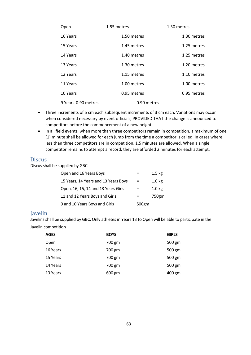| Open                | 1.55 metres | 1.30 metres |
|---------------------|-------------|-------------|
| 16 Years            | 1.50 metres | 1.30 metres |
| 15 Years            | 1.45 metres | 1.25 metres |
| 14 Years            | 1.40 metres | 1.25 metres |
| 13 Years            | 1.30 metres | 1.20 metres |
| 12 Years            | 1.15 metres | 1.10 metres |
| 11 Years            | 1.00 metres | 1.00 metres |
| 10 Years            | 0.95 metres | 0.95 metres |
| 9 Years 0.90 metres | 0.90 metres |             |

- Three increments of 5 cm each subsequent increments of 3 cm each. Variations may occur when considered necessary by event officials, PROVIDED THAT the change is announced to competitors before the commencement of a new height.
- In all field events, when more than three competitors remain in competition, a maximum of one (1) minute shall be allowed for each jump from the time a competitor is called. In cases where less than three competitors are in competition, 1.5 minutes are allowed. When a single competitor remains to attempt a record, they are afforded 2 minutes for each attempt.

#### **Discus**

Discus shall be supplied by GBC.

| Open and 16 Years Boys               |       | $1.5 \text{ kg}$  |
|--------------------------------------|-------|-------------------|
| 15 Years, 14 Years and 13 Years Boys |       | 1.0 <sub>kg</sub> |
| Open, 16, 15, 14 and 13 Years Girls  |       | 1.0 <sub>kg</sub> |
| 11 and 12 Years Boys and Girls       |       | 750gm             |
| 9 and 10 Years Boys and Girls        | 500gm |                   |

#### Javelin

Javelins shall be supplied by GBC. Only athletes in Years 13 to Open will be able to participate in the Javelin competition

| <b>AGES</b> | <b>BOYS</b> | <b>GIRLS</b> |
|-------------|-------------|--------------|
| Open        | 700 gm      | 500 gm       |
| 16 Years    | 700 gm      | 500 gm       |
| 15 Years    | 700 gm      | 500 gm       |
| 14 Years    | 700 gm      | 500 gm       |
| 13 Years    | 600 gm      | 400 gm       |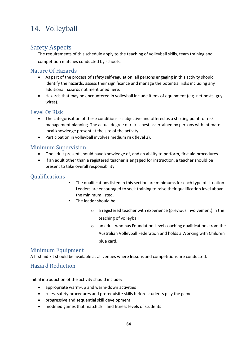# 14. Volleyball

# Safety Aspects

The requirements of this schedule apply to the teaching of volleyball skills, team training and competition matches conducted by schools.

## Nature Of Hazards

- As part of the process of safety self-regulation, all persons engaging in this activity should identify the hazards, assess their significance and manage the potential risks including any additional hazards not mentioned here.
- Hazards that may be encountered in volleyball include items of equipment (e.g. net posts, guy wires).

## Level Of Risk

- The categorisation of these conditions is subjective and offered as a starting point for risk management planning. The actual degree of risk is best ascertained by persons with intimate local knowledge present at the site of the activity.
- Participation in volleyball involves medium risk (level 2).

## Minimum Supervision

- One adult present should have knowledge of, and an ability to perform, first aid procedures.
- If an adult other than a registered teacher is engaged for instruction, a teacher should be present to take overall responsibility.

## Qualifications

- The qualifications listed in this section are minimums for each type of situation. Leaders are encouraged to seek training to raise their qualification level above the minimum listed.
- The leader should be:
	- o a registered teacher with experience (previous involvement) in the teaching of volleyball
	- o an adult who has Foundation Level coaching qualifications from the Australian Volleyball Federation and holds a Working with Children blue card.

## Minimum Equipment

A first aid kit should be available at all venues where lessons and competitions are conducted.

## Hazard Reduction

Initial introduction of the activity should include:

- appropriate warm-up and warm-down activities
- rules, safety procedures and prerequisite skills before students play the game
- progressive and sequential skill development
- modified games that match skill and fitness levels of students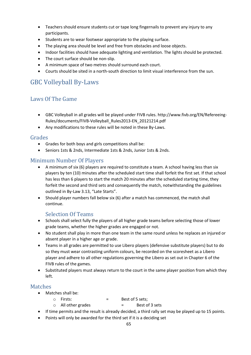- Teachers should ensure students cut or tape long fingernails to prevent any injury to any participants.
- Students are to wear footwear appropriate to the playing surface.
- The playing area should be level and free from obstacles and loose objects.
- Indoor facilities should have adequate lighting and ventilation. The lights should be protected.
- The court surface should be non-slip.
- A minimum space of two metres should surround each court.
- Courts should be sited in a north-south direction to limit visual interference from the sun.

# GBC Volleyball By-Laws

# Laws Of The Game

- GBC Volleyball in all grades will be played under FIVB rules. http://www.fivb.org/EN/Refereeing-Rules/documents/FIVB-Volleyball\_Rules2013-EN\_20121214.pdf
- Any modifications to these rules will be noted in these By-Laws.

#### Grades

- Grades for both boys and girls competitions shall be:
- Seniors 1sts & 2nds, Intermediate 1sts & 2nds, Junior 1sts & 2nds.

## Minimum Number Of Players

- A minimum of six (6) players are required to constitute a team. A school having less than six players by ten (10) minutes after the scheduled start time shall forfeit the first set. If that school has less than 6 players to start the match 20 minutes after the scheduled starting time, they forfeit the second and third sets and consequently the match, notwithstanding the guidelines outlined in By-Law 3.13, "Late Starts".
- Should player numbers fall below six (6) after a match has commenced, the match shall continue.

## Selection Of Teams

- Schools shall select fully the players of all higher grade teams before selecting those of lower grade teams, whether the higher grades are engaged or not.
- No student shall play in more than one team in the same round unless he replaces an injured or absent player in a higher age or grade.
- Teams in all grades are permitted to use Libero players (defensive substitute players) but to do so they must wear contrasting uniform colours, be recorded on the scoresheet as a Libero player and adhere to all other regulations governing the Libero as set out in Chapter 6 of the FIVB rules of the games.
- Substituted players must always return to the court in the same player position from which they left.

## Matches

- Matches shall be:
	- $\circ$  Firsts:  $\circ$  = Best of 5 sets:
	- o All other grades = Best of 3 sets
- If time permits and the result is already decided, a third rally set may be played up to 15 points.
- Points will only be awarded for the third set if it is a deciding set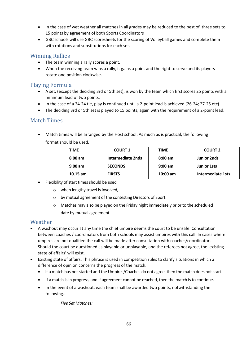- In the case of wet weather all matches in all grades may be reduced to the best of three sets to 15 points by agreement of both Sports Coordinators
- GBC schools will use GBC scoresheets for the scoring of Volleyball games and complete them with rotations and substitutions for each set.

## Winning Rallies

- The team winning a rally scores a point.
- When the receiving team wins a rally, it gains a point and the right to serve and its players rotate one position clockwise.

## Playing Formula

- A set, (except the deciding 3rd or 5th set), is won by the team which first scores 25 points with a minimum lead of two points.
- In the case of a 24-24 tie, play is continued until a 2-point lead is achieved (26-24; 27-25 etc)
- The deciding 3rd or 5th set is played to 15 points, again with the requirement of a 2-point lead.

## Match Times

• Match times will be arranged by the Host school. As much as is practical, the following format should be used.

| TIME              | <b>COURT 1</b>    | TIME              | <b>COURT 2</b>     |
|-------------------|-------------------|-------------------|--------------------|
| $8.00 \text{ am}$ | Intermediate 2nds | $8:00 \text{ am}$ | <b>Junior 2nds</b> |
| 9.00 am           | <b>SECONDS</b>    | $9:00 \text{ am}$ | <b>Junior 1sts</b> |
| $10.15$ am        | <b>FIRSTS</b>     | $10:00$ am        | Intermediate 1sts  |

- Flexibility of start times should be used
	- o when lengthy travel is involved,
	- o by mutual agreement of the contesting Directors of Sport.
	- o Matches may also be played on the Friday night immediately prior to the scheduled date by mutual agreement.

#### Weather

- A washout may occur at any time the chief umpire deems the court to be unsafe. Consultation between coaches / coordinators from both schools may assist umpires with this call. In cases where umpires are not qualified the call will be made after consultation with coaches/coordinators. Should the court be questioned as playable or unplayable, and the referees not agree, the 'existing state of affairs' will exist.
- Existing state of affairs: This phrase is used in competition rules to clarify situations in which a difference of opinion concerns the progress of the match.
	- If a match has not started and the Umpires/Coaches do not agree, then the match does not start.
	- If a match is in progress, and if agreement cannot be reached, then the match is to continue.
	- In the event of a washout, each team shall be awarded two points, notwithstanding the following...

*Five Set Matches:*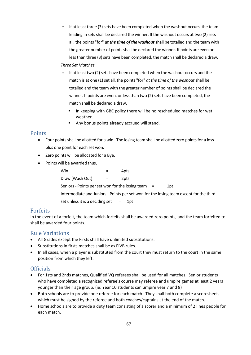$\circ$  If at least three (3) sets have been completed when the washout occurs, the team leading in sets shall be declared the winner. If the washout occurs at two (2) sets all, the points "for" *at the time of the washout* shall be totalled and the team with the greater number of points shall be declared the winner. If points are even or less than three (3) sets have been completed, the match shall be declared a draw.

#### *Three Set Matches*:

- o If at least two (2) sets have been completed when the washout occurs and the match is at one (1) set all, the points "for" *at the time of the washout* shall be totalled and the team with the greater number of points shall be declared the winner. If points are even, or less than two (2) sets have been completed, the match shall be declared a draw.
	- In keeping with GBC policy there will be no rescheduled matches for wet weather.
	- Any bonus points already accrued will stand.

#### **Points**

- Four points shall be allotted for a win. The losing team shall be allotted zero points for a loss plus one point for each set won.
- Zero points will be allocated for a Bye.
- Points will be awarded thus,

| Win                                                                                    |  | 4pts |     |  |      |  |  |
|----------------------------------------------------------------------------------------|--|------|-----|--|------|--|--|
| Draw (Wash Out)                                                                        |  | 2pts |     |  |      |  |  |
| Seniors - Points per set won for the losing team $=$                                   |  |      |     |  | 1pt. |  |  |
| Intermediate and Juniors - Points per set won for the losing team except for the third |  |      |     |  |      |  |  |
| set unless it is a deciding set $=$                                                    |  |      | 1pt |  |      |  |  |

#### Forfeits

In the event of a forfeit, the team which forfeits shall be awarded zero points, and the team forfeited to shall be awarded four points.

## Rule Variations

- All Grades except the Firsts shall have unlimited substitutions.
- Substitutions in firsts matches shall be as FIVB rules.
- In all cases, when a player is substituted from the court they must return to the court in the same position from which they left.

## **Officials**

- For 1sts and 2nds matches, Qualified VQ referees shall be used for all matches. Senior students who have completed a recognized referee's course may referee and umpire games at least 2 years younger than their age group. (ie: Year 10 students can umpire year 7 and 8)
- Both schools are to provide one referee for each match. They shall both complete a scoresheet, which must be signed by the referee and both coaches/captains at the end of the match.
- Home schools are to provide a duty team consisting of a scorer and a minimum of 2 lines people for each match.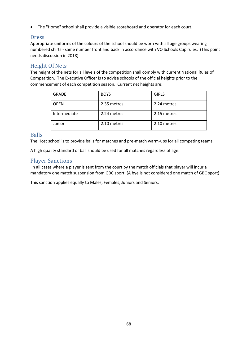• The "Home" school shall provide a visible scoreboard and operator for each court.

#### Dress

Appropriate uniforms of the colours of the school should be worn with all age groups wearing numbered shirts - same number front and back in accordance with VQ Schools Cup rules. (This point needs discussion in 2018)

## Height Of Nets

The height of the nets for all levels of the competition shall comply with current National Rules of Competition. The Executive Officer is to advise schools of the official heights prior to the commencement of each competition season. Current net heights are:

| <b>GRADE</b> | <b>BOYS</b> | <b>GIRLS</b> |
|--------------|-------------|--------------|
| <b>OPEN</b>  | 2.35 metres | 2.24 metres  |
| Intermediate | 2.24 metres | 2.15 metres  |
| Junior       | 2.10 metres | 2.10 metres  |

## Balls

The Host school is to provide balls for matches and pre-match warm-ups for all competing teams.

A high quality standard of ball should be used for all matches regardless of age.

## Player Sanctions

In all cases where a player is sent from the court by the match officials that player will incur a mandatory one match suspension from GBC sport. (A bye is not considered one match of GBC sport)

This sanction applies equally to Males, Females, Juniors and Seniors,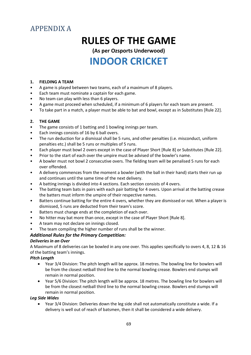# APPENDIX A

# **RULES OF THE GAME**

**(As per Ozsports Underwood) INDOOR CRICKET**

#### **1. FIELDING A TEAM**

- A game is played between two teams, each of a maximum of 8 players.
- Each team must nominate a captain for each game.
- No team can play with less than 6 players.
- A game must proceed when scheduled, if a minimum of 6 players for each team are present.
- To take part in a match, a player must be able to bat and bowl, except as in Substitutes [Rule 22].

#### **2. THE GAME**

- The game consists of 1 batting and 1 bowling innings per team.
- Each innings consists of 16 by 6 ball overs.
- The run deduction for a dismissal shall be 5 runs, and other penalties (i.e. misconduct, uniform penalties etc.) shall be 5 runs or multiples of 5 runs.
- Each player must bowl 2 overs except in the case of Player Short [Rule 8] or Substitutes [Rule 22].
- Prior to the start of each over the umpire must be advised of the bowler's name.
- A bowler must not bowl 2 consecutive overs. The fielding team will be penalised 5 runs for each over offended.
- A delivery commences from the moment a bowler (with the ball in their hand) starts their run up and continues until the same time of the next delivery.
- A batting innings is divided into 4 sections. Each section consists of 4 overs.
- The batting team bats in pairs with each pair batting for 4 overs. Upon arrival at the batting crease the batters must inform the umpire of their respective names.
- Batters continue batting for the entire 4 overs, whether they are dismissed or not. When a player is dismissed, 5 runs are deducted from their team's score.
- Batters must change ends at the completion of each over.
- No hitter may bat more than once, except in the case of Player Short [Rule 8].
- A team may not declare on innings closed.
- The team compiling the higher number of runs shall be the winner.

#### *Additional Rules for the Primary Competition:*

#### *Deliveries in an Over*

A Maximum of 8 deliveries can be bowled in any one over. This applies specifically to overs 4, 8, 12 & 16 of the batting team's innings.

#### *Pitch Length*

- Year 3/4 Division: The pitch length will be approx. 18 metres. The bowling line for bowlers will be from the closest netball third line to the normal bowling crease. Bowlers end stumps will remain in normal position.
- Year 5/6 Division: The pitch length will be approx. 18 metres. The bowling line for bowlers will be from the closest netball third line to the normal bowling crease. Bowlers end stumps will remain in normal position.

#### *Leg Side Wides*

• Year 3/4 Division: Deliveries down the leg side shall not automatically constitute a wide. If a delivery is well out of reach of batsmen, then it shall be considered a wide delivery.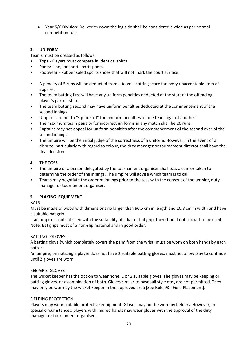• Year 5/6 Division: Deliveries down the leg side shall be considered a wide as per normal competition rules.

#### **3. UNIFORM**

Teams must be dressed as follows:

- Tops:- Players must compete in Identical shirts
- Pants:- Long or short sports pants.
- Footwear:- Rubber soled sports shoes that will not mark the court surface.
- A penalty of 5 runs will be deducted from a team's batting score for every unacceptable item of apparel.
- The team batting first will have any uniform penalties deducted at the start of the offending player's partnership.
- The team batting second may have uniform penalties deducted at the commencement of the second innings.
- Umpires are not to "square off" the uniform penalties of one team against another.
- The maximum team penalty for incorrect uniforms in any match shall be 20 runs.
- Captains may not appeal for uniform penalties after the commencement of the second over of the second innings.
- The umpire will be the initial judge of the correctness of a uniform. However, in the event of a dispute, particularly with regard to colour, the duty manager or tournament director shall have the final decision.

#### **4. THE TOSS**

- The umpire or a person delegated by the tournament organiser shall toss a coin or taken to determine the order of the innings. The umpire will advise which team is to call.
- Teams may negotiate the order of innings prior to the toss with the consent of the umpire, duty manager or tournament organiser.

#### **5. PLAYING EQUIPMENT**

#### **BATS**

Must be made of wood with dimensions no larger than 96.5 cm in length and 10.8 cm in width and have a suitable bat grip.

If an umpire is not satisfied with the suitability of a bat or bat grip, they should not allow it to be used. Note: Bat grips must of a non-slip material and in good order.

#### BATTING GLOVES

A batting glove (which completely covers the palm from the wrist) must be worn on both hands by each batter.

An umpire, on noticing a player does not have 2 suitable batting gloves, must not allow play to continue until 2 gloves are worn.

#### KEEPER'S GLOVES

The wicket keeper has the option to wear none, 1 or 2 suitable gloves. The gloves may be keeping or batting gloves, or a combination of both. Gloves similar to baseball style etc., are not permitted. They may only be worn by the wicket keeper in the approved area [See Rule 98 - Field Placement].

#### FIELDING PROTECTION

Players may wear suitable protective equipment. Gloves may not be worn by fielders. However, in special circumstances, players with injured hands may wear gloves with the approval of the duty manager or tournament organiser.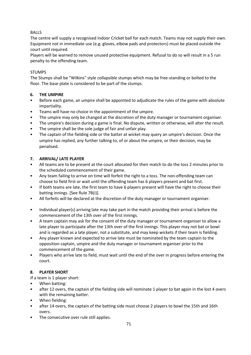#### BALLS

The centre will supply a recognised Indoor Cricket ball for each match. Teams may not supply their own. Equipment not in immediate use (e.g. gloves, elbow pads and protectors) must be placed outside the court until required.

Players will be warned to remove unused protective equipment. Refusal to do so will result in a 5 run penalty to the offending team.

#### STUMPS

The Stumps shall be "Wilkins" style collapsible stumps which may be free-standing or bolted to the floor. The base plate is considered to be part of the stumps.

#### **6. THE UMPIRE**

- Before each game, an umpire shall be appointed to adjudicate the rules of the game with absolute impartiality.
- Teams will have no choice in the appointment of the umpire.
- The umpire may only be changed at the discretion of the duty manager or tournament organiser.
- The umpire's decision during a game is final. No dispute, written or otherwise, will alter the result.
- The umpire shall be the sole judge of fair and unfair play.
- The captain of the fielding side or the batter at wicket may query an umpire's decision. Once the umpire has replied, any further talking to, of or about the umpire, or their decision, may be penalised.

#### **7. ARRIVAL/ LATE PLAYER**

- All teams are to be present at the court allocated for their match to do the toss 2 minutes prior to the scheduled commencement of their game.
- Any team failing to arrive on time will forfeit the right to a toss. The non-offending team can choose to field first or wait until the offending team has 6 players present and bat first.
- If both teams are late, the first team to have 6 players present will have the right to choose their batting innings. [See Rule 7B(i)].
- All forfeits will be declared at the discretion of the duty manager or tournament organiser.
- Individual player(s) arriving late may take part in the match providing their arrival is before the commencement of the 13th over of the first innings.
- A team captain may ask for the consent of the duty manager or tournament organiser to allow a late player to participate after the 13th over of the first innings. This player may not bat or bowl and is regarded as a late player, not a substitute, and may keep wickets if their team is fielding.
- Any player known and expected to arrive late must be nominated by the team captain to the opposition captain, umpire and the duty manager or tournament organiser prior to the commencement of the game.
- Players who arrive late to field, must wait until the end of the over in progress before entering the court.

#### **8. PLAYER SHORT**

If a team is 1 player short:

- When batting:
- after 12 overs, the captain of the fielding side will nominate 1 player to bat again in the lost 4 overs with the remaining batter.
- When fielding:
- after 14 overs, the captain of the batting side must choose 2 players to bowl the 15th and 16th overs.
- The consecutive over rule still applies.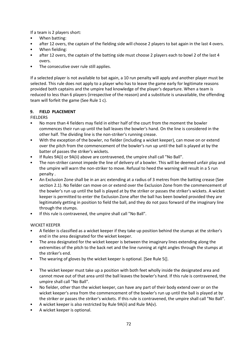If a team is 2 players short:

- When batting:
- after 12 overs, the captain of the fielding side will choose 2 players to bat again in the last 4 overs.
- When fielding:
- after 12 overs, the captain of the batting side must choose 2 players each to bowl 2 of the last 4 overs.
- The consecutive over rule still applies.

If a selected player is not available to bat again, a 10 run penalty will apply and another player must be selected. This rule does not apply to a player who has to leave the game early for legitimate reasons provided both captains and the umpire had knowledge of the player's departure. When a team is reduced to less than 6 players (irrespective of the reason) and a substitute is unavailable, the offending team will forfeit the game (See Rule 1 c).

#### **9. FIELD PLACEMENT**

#### **FIELDERS**

- No more than 4 fielders may field in either half of the court from the moment the bowler commences their run up until the ball leaves the bowler's hand. On the line is considered in the other half. The dividing line is the non-striker's running crease.
- With the exception of the bowler, no fielder (including a wicket keeper), can move on or extend over the pitch from the commencement of the bowler's run up until the ball is played at by the batter of passes the striker's wickets.
- If Rules 9A(i) or 9A(ii) above are contravened, the umpire shall call "No Ball".
- The non-striker cannot impede the line of delivery of a bowler. This will be deemed unfair play and the umpire will warn the non-striker to move. Refusal to heed the warning will result in a 5 run penalty .
- An Exclusion Zone shall be in an arc extending at a radius of 3 metres from the batting crease (See section 2.1). No fielder can move on or extend over the Exclusion Zone from the commencement of the bowler's run up until the ball is played at by the striker or passes the striker's wickets. A wicket keeper is permitted to enter the Exclusion Zone after the ball has been bowled provided they are legitimately getting in position to field the ball, and they do not pass forward of the imaginary line through the stumps.
- If this rule is contravened, the umpire shall call "No Ball".

WICKET KEEPER

- A fielder is classified as a wicket keeper if they take up position behind the stumps at the striker's end in the area designated for the wicket keeper.
- The area designated for the wicket keeper is between the imaginary lines extending along the extremities of the pitch to the back net and the line running at right angles through the stumps at the striker's end.
- The wearing of gloves by the wicket keeper is optional. [See Rule 5(].
- The wicket keeper must take up a position with both feet wholly inside the designated area and cannot move out of that area until the ball leaves the bowler's hand. If this rule is contravened, the umpire shall call "No Ball".
- No fielder, other than the wicket keeper, can have any part of their body extend over or on the wicket keeper's area from the commencement of the bowler's run up until the ball is played at by the striker or passes the striker's wickets. If this rule is contravened, the umpire shall call "No Ball".
- A wicket keeper is also restricted by Rule 9A(ii) and Rule 9A(v).
- A wicket keeper is optional.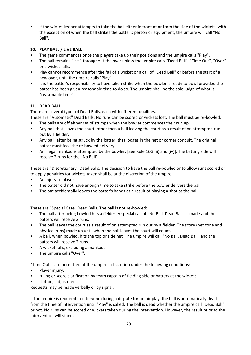• If the wicket keeper attempts to take the ball either in front of or from the side of the wickets, with the exception of when the ball strikes the batter's person or equipment, the umpire will call "No Ball".

# **10. PLAY BALL / LIVE BALL**

- The game commences once the players take up their positions and the umpire calls "Play".
- The ball remains "live" throughout the over unless the umpire calls "Dead Ball", "Time Out", "Over" or a wicket falls.
- Play cannot recommence after the fall of a wicket or a call of "Dead Ball" or before the start of a new over, until the umpire calls "Play".
- It is the batter's responsibility to have taken strike when the bowler is ready to bowl provided the batter has been given reasonable time to do so. The umpire shall be the sole judge of what is "reasonable time".

# **11. DEAD BALL**

There are several types of Dead Balls, each with different qualities.

- These are "Automatic" Dead Balls. No runs can be scored or wickets lost. The ball must be re-bowled:
- The bails are off either set of stumps when the bowler commences their run up.
- Any ball that leaves the court, other than a ball leaving the court as a result of on attempted run out by a fielder.
- Any ball, after being struck by the batter, that lodges in the net or corner conduit. The original batter must face the re-bowled delivery.
- An illegal mankad is attempted by the bowler. [See Rule 16G(iii) and (iv)]. The batting side will receive 2 runs for the "No Ball".

These are "Discretionary" Dead Balls. The decision to have the ball re-bowled or to allow runs scored or to apply penalties for wickets taken shall be at the discretion of the umpire:

- An injury to player.
- The batter did not have enough time to take strike before the bowler delivers the ball.
- The bat accidentally leaves the batter's hands as a result of playing a shot at the ball.

These are "Special Case" Dead Balls. The ball is not re-bowled:

- The ball after being bowled hits a fielder. A special call of "No Ball, Dead Ball" is made and the batters will receive 2 runs.
- The ball leaves the court as a result of on attempted run out by a fielder. The score (net zone and physical runs) made up until when the ball leaves the court will count.
- A ball, when bowled. hits the top or side net. The umpire will call "No Ball, Dead Ball" and the batters will receive 2 runs.
- A wicket falls, excluding a mankad.
- The umpire calls "Over".

"Time Outs" are permitted of the umpire's discretion under the following conditions:

- Player injury;
- ruling or score clarification by team captain of fielding side or batters at the wicket;
- clothing adjustment.

Requests may be made verbally or by signal.

If the umpire is required to intervene during a dispute for unfair play, the ball is automatically dead from the time of intervention until "Play" is called. The ball is dead whether the umpire call "Dead Ball" or not. No runs can be scored or wickets taken during the intervention. However, the result prior to the intervention will stand.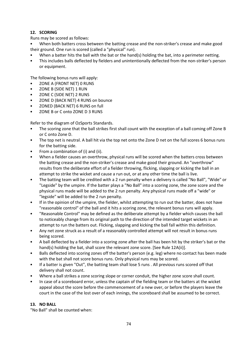# **12. SCORING**

Runs may be scored as follows:

• When both batters cross between the batting crease and the non-striker's crease and make good their ground. One run is scored (called a "physical" run).

- When a batter hits the ball with the bat or the hand(s) holding the bat, into a perimeter netting.
- This includes balls deflected by fielders and unintentionally deflected from the non-striker's person or equipment.

The following bonus runs will apply:

- ZONE A (FRONT NET) 0 RUNS
- ZONE B (SIDE NET) 1 RUN
- ZONE C (SIDE NET) 2 RUNS
- ZONE D (BACK NET) 4 RUNS on bounce
- ZONED (BACK NET) 6 RUNS on full
- ZONE B or C onto ZONE D 3 RUNS

Refer to the diagram of OzSports Standards.

- The scoring zone that the ball strikes first shall count with the exception of a ball coming off Zone B or C onto Zone D.
- The top net is neutral. A ball hit via the top net onto the Zone D net on the full scores 6 bonus runs for the batting side.
- From a combination of (i) and (ii).
- When a fielder causes an overthrow, physical runs will be scored when the batters cross between the batting crease and the non-striker's crease and make good their ground. An "overthrow" results from the deliberate effort of a fielder throwing, flicking, slapping or kicking the ball in an attempt to strike the wicket and cause a run out, or at any other time the ball is live.
- The batting team will be credited with a 2 run penalty when a delivery is called "No Ball", "Wide" or "Legside" by the umpire. If the batter plays a "No Ball" into a scoring zone, the zone score and the physical runs made will be added to the 2 run penalty. Any physical runs made off a "wide" or "legside" will be added to the 2 run penalty.
- If in the opinion of the umpire, the fielder, whilst attempting to run out the batter, does not have "reasonable control" of the ball and it hits a scoring zone, the relevant bonus runs will apply.
- "Reasonable Control" may be defined as the deliberate attempt by a fielder which causes the ball to noticeably change from its original path to the direction of the intended target wickets in an attempt to run the batters out. Flicking, slapping and kicking the ball fall within this definition.
- Any net zone struck as a result of a reasonably controlled attempt will not result in bonus runs being scored.
- A ball deflected by a fielder into a scoring zone after the ball has been hit by the striker's bat or the hand(s) holding the bat, shall score the relevant zone score. [See Rule 12A(ii)].
- Balls deflected into scoring zones off the batter's person (e.g. leg) where no contact has been made with the bat shall not score bonus runs. Only physical runs may be scored.
- If a batter is given "Out", the batting team shall lose 5 runs . All previous runs scored off that delivery shall not count.
- Where a ball strikes a zone scoring slope or corner conduit, the higher zone score shall count.
- In case of a scoreboard error, unless the captain of the fielding team or the batters at the wicket appeal about the score before the commencement of a new over, or before the players leave the court in the case of the lost over of each innings, the scoreboard shall be assumed to be correct.

#### **13. NO BALL**

"No Ball" shall be counted when: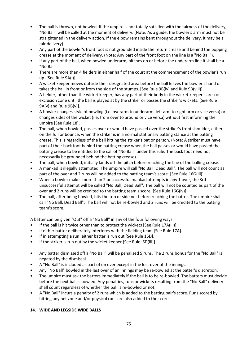- The ball is thrown, not bowled. If the umpire is not totally satisfied with the fairness of the delivery, "No Ball" will be called at the moment of delivery. (Note: As a guide, the bowler's arm must not be straightened in the delivery action. If the elbow remains bent throughout the delivery, it may be a fair delivery).
- Any part of the bowler's front foot is not grounded inside the return crease and behind the popping crease at the moment of delivery. (Note: Any part of the front foot on the line is a "No Ball").
- If any part of the ball, when bowled underarm, pitches on or before the underarm line it shall be a "No Ball".
- There are more than 4 fielders in either half of the court at the commencement of the bowler's run up. [See Rule 9A(i)].
- A wicket keeper moves outside their designated area before the ball leaves the bowler's hand or takes the ball in front or from the side of the stumps. [See Rule 9B(iv) and Rule 9B(viii)].
- A fielder, other than the wicket keeper, has any part of their body in the wicket keeper's area or exclusion zone until the ball is played at by the striker or passes the striker's wickets. [See Rule 9A(v) and Rule 9B(v)].
- A bowler changes style of bowling (i.e. overarm to underarm, left arm to right arm or vice versa) or changes sides of the wicket (i.e. from over to around or vice versa) without first informing the umpire [See Rule 18].
- The ball, when bowled, passes over or would have passed over the striker's front shoulder, either on the full or bounce, when the striker is in a normal stationary batting stance at the batting crease. This is regardless of the ball hitting the striker's bat or person. (Note: A striker must have part of their back foot behind the batting crease when the ball passes or would have passed the batting crease to be entitled to the call of "No Ball" under this rule. The back foot need not necessarily be grounded behind the batting crease).
- The ball, when bowled, initially lands off the pitch before reaching the line of the balling crease.
- A mankad is illegally attempted. The umpire will call "No Ball, Dead Ball". The ball will not count as part of the over and 2 runs will be added to the batting team's score. [See Rule 16G(iii)].
- When a bowler makes more than 2 unsuccessful mankad attempts in any 1 over, the 3rd unsuccessful attempt will be called "No Ball, Dead Ball". The ball will not be counted as part of the over and 2 runs will be credited to the batting team's score. [See Rule 16G(iv)].
- The ball, after being bowled, hits the top or side net before reaching the batter. The umpire shall call "No Ball, Dead Ball". The ball will not be re-bowled and 2 runs will be credited to the batting team's score.

A batter can be given "Out" off a "No Ball" in any of the four following ways:

- If the ball is hit twice other than to protect the wickets [See Rule 17A(iii)].
- If either batter deliberately interferes with the fielding team [See Rule 17A].
- If in attempting a run, either batter is run out [See Rule 16D].
- If the striker is run out by the wicket keeper [See Rule l6D(iii)].
- Any batter dismissed off a "No Ball" will be penalised 5 runs. The 2 runs bonus for the "No Ball" is negated by the dismissal.
- A "No Ball" is included as part of on over except in the lost over of the innings.
- Any "No Ball" bowled in the last over of an innings may be re-bowled at the batter's discretion.
- The umpire must ask the batters immediately if the ball is to be re-bowled. The batters must decide before the next ball is bowled. Any penalties, runs or wickets resulting from the "No Ball" delivery shall count regardless of whether the ball is re-bowled or not.
- A "No Ball" incurs a penalty of 2 runs which is added to the batting pair's score. Runs scored by hitting any net zone and/or physical runs are also added to the score.

# **14. WIDE AND LEGSIDE WIDE BALLS**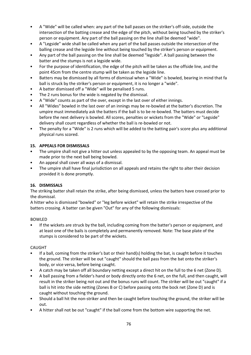- A "Wide" will be called when: any part of the ball passes on the striker's off-side, outside the intersection of the batting crease and the edge of the pitch, without being touched by the striker's person or equipment. Any part of the ball passing on the line shall be deemed "wide".
- A "Legside" wide shall be called when any part of the ball passes outside the intersection of the balling crease and the legside line without being touched by the striker's person or equipment.
- Any part of the ball passing on the line shall be deemed "legside". A ball passing between the batter and the stumps is not a legside wide.
- For the purpose of identification, the edge of the pitch will be taken as the offside line, and the point 45cm from the centre stump will be taken as the legside line.
- Batters may be dismissed by all forms of dismissal when a "Wide" is bowled, bearing in mind that fa ball is struck by the striker's person or equipment, it is no longer a "wide".
- A batter dismissed off a "Wide" will be penalised 5 runs.
- The 2 runs bonus for the wide is negated by the dismissal.
- A "Wide" counts as part of the over, except in the last over of either innings.
- All "Wides" bowled in the last over of an innings may be re-bowled at the batter's discretion. The umpire must immediately ask the batters if the ball is to be re-bowled. The batters must decide before the next delivery is bowled. All scores, penalties or wickets from the "Wide" or "Legside" delivery shall count regardless of whether the ball is re-bowled or not.
- The penalty for a "Wide" is 2 runs which will be added to the batting pair's score plus any additional physical runs scored.

# **15. APPEALS FOR DISMISSALS**

- The umpire shall not give a hitter out unless appealed to by the opposing team. An appeal must be made prior to the next ball being bowled.
- An appeal shall cover all ways of a dismissal.
- The umpire shall have final jurisdiction on all appeals and retains the right to alter their decision provided it is done promptly.

# **16. DISMISSALS**

The striking batter shall retain the strike, after being dismissed, unless the batters have crossed prior to the dismissal.

A hitter who is dismissed "bowled" or "leg before wicket" will retain the strike irrespective of the batters crossing. A batter can be given "Out" for any of the following dismissals:

#### BOWLED

• If the wickets are struck by the ball, including coming from the batter's person or equipment, and at least one of the bails is completely and permanently removed. Note: The base plate of the stumps is considered to be part of the wickets.

#### CAUGHT

- If a ball, coming from the striker's bat or their hand(s) holding the bat, is caught before it touches the ground. The striker will be out "caught" should the ball pass from the bat onto the striker's body, or vice versa, before being caught.
- A catch may be taken off all boundary netting except a direct hit on the full to the 6 net (Zone D).
- A ball passing from a fielder's hand or body directly onto the 6 net, on the full, and then caught, will result in the striker being not out and the bonus runs will count. The striker will be out "caught" if a ball is hit into the side netting (Zones B or C) before passing onto the bock net (Zone D) and is caught without touching the ground.
- Should a ball hit the non-striker and then be caught before touching the ground, the striker will be out.
- A hitter shall not be out "caught" if the ball come from the bottom wire supporting the net.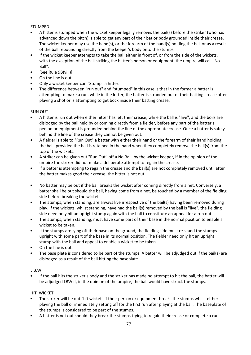#### STUMPED

- A hitter is stumped when the wicket keeper legally removes the bail(s) before the striker (who has advanced down the pitch) is able to get any part of their bat or body grounded inside their crease. The wicket keeper may use the hand(s), or the forearm of the hand(s) holding the ball or as a result of the ball rebounding directly from the keeper's body onto the stumps.
- If the wicket keeper attempts to take the ball either in front of, or from the side of the wickets, with the exception of the ball striking the batter's person or equipment, the umpire will call "No Ball".
- [See Rule 9B(viii)].
- On the line is out.
- Only a wicket keeper can "Stump" a hitter.
- The difference between "run out" and "stumped" in this case is that in the former a batter is attempting to make a run, while in the lotter, the batter is stranded out of their batting crease after playing a shot or is attempting to get bock inside their batting crease.

#### RUN OUT

- A hitter is run out when either hitter has left their crease, while the ball is "live", and the boils are dislodged by the ball held by or coming directly from a fielder, before any part of the batter's person or equipment is grounded behind the line of the appropriate crease. Once a batter is safely behind the line of the crease they cannot be given out.
- A fielder is able to "Run Out" a batter with either their hand or the forearm of their hand holding the ball, provided the ball is retained in the hand when they completely remove the bail(s) from the top of the wickets.
- A striker can be given out "Run Out" off a No Ball, by the wicket keeper, if in the opinion of the umpire the striker did not make a deliberate attempt to regain the crease.
- If a batter is attempting to regain the crease and the bail(s) are not completely removed until after the batter makes good their crease, the hitter is not out.
- No batter may be out if the ball breaks the wicket after coming directly from a net. Conversely, a batter shall be out should the ball, having come from a net, be touched by a member of the fielding side before breaking the wicket.
- The stumps, when standing, are always live irrespective of the bail(s) having been removed during play. If the wickets, whilst standing, have had the bail(s) removed by the ball is "live", the fielding side need only hit an upright stump again with the ball to constitute an appeal for a run out.
- The stumps, when standing, must have some part of their base in the normal position to enable a wicket to be taken.
- If the stumps are lying off their base on the ground, the fielding side must re-stand the stumps upright with some part of the base in its normal position. The fielder need only hit an upright stump with the ball and appeal to enable a wicket to be taken.
- On the line is out.
- The base plate is considered to be part of the stumps. A batter will be adjudged out if the bail(s) are dislodged as a result of the ball hitting the baseplate.

#### L.B.W.

• If the ball hits the striker's body and the striker has made no attempt to hit the ball, the batter will be adjudged LBW if, in the opinion of the umpire, the ball would have struck the stumps.

#### HIT WICKET

- The striker will be out "hit wicket" if their person or equipment breaks the stumps whilst either playing the ball or immediately setting off for the first run after playing at the ball. The baseplate of the stumps is considered to be part of the stumps.
- A batter is not out should they break the stumps trying to regain their crease or complete a run.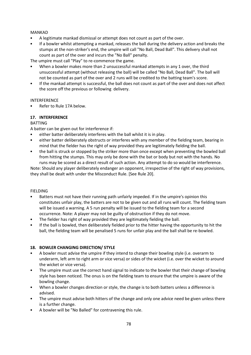#### MANKAD

- A legitimate mankad dismissal or attempt does not count as part of the over.
- If a bowler whilst attempting a mankad, releases the ball during the delivery action and breaks the stumps at the non-striker's end, the umpire will call "No Ball, Dead Ball". This delivery shall not count as part of the over and incurs the "No Ball" penalty.

The umpire must call "Play" to re-commence the game.

- When a bowler makes more than 2 unsuccessful mankad attempts in any 1 over, the third unsuccessful attempt (without releasing the ball) will be called "No Ball, Dead Ball". The ball will not be counted as part of the over and 2 runs will be credited to the batting team's score.
- If the mankad attempt is successful, the ball does not count as part of the over and does not affect the score off the previous or following delivery.

#### INTERFERENCE

• Refer to Rule 17A below.

#### **17. INTERFERENCE**

#### **BATTING**

A batter can be given out for interference if:

- either batter deliberately interferes with the ball whilst it is in play.
- either batter deliberately obstructs or interferes with any member of the fielding team, bearing in mind that the fielder has the right of way provided they are legitimately fielding the ball.
- the ball is struck or stopped by the striker more than once except when preventing the bowled ball from hitting the stumps. This may only be done with the bat or body but not with the hands. No runs may be scored as a direct result of such action. Any attempt to do so would be interference.

Note: Should any player deliberately endanger an opponent, irrespective of the right of way provisions, they shall be dealt with under the Misconduct Rule. [See Rule 20].

#### FIELDING

- Batters must not have their running path unfairly impeded. If in the umpire's opinion this constitutes unfair play, the batters are not to be given out and all runs will count. The fielding team will be issued a warning. A 5 run penalty will be issued to the fielding team for a second occurrence. Note: A player may not be guilty of obstruction if they do not move.
- The fielder has right of way provided they are legitimately fielding the ball.
- If the ball is bowled, then deliberately fielded prior to the hitter having the opportunity to hit the ball, the fielding team will be penalised 5 runs for unfair play and the ball shall be re-bowled.

# **18. BOWLER CHANGING DIRECTION/ STYLE**

- A bowler must advise the umpire if they intend to change their bowling style (i.e. overarm to underarm, left arm to right arm or vice versa) or sides of the wicket (i.e. over the wicket to around the wicket or vice versa).
- The umpire must use the correct hand signal to indicate to the bowler that their change of bowling style has been noticed. The onus is on the fielding team to ensure that the umpire is aware of the bowling change.
- When a bowler changes direction or style, the change is to both batters unless a difference is advised.
- The umpire must advise both hitters of the change and only one advice need be given unless there is a further change.
- A bowler will be "No Balled" for contravening this rule.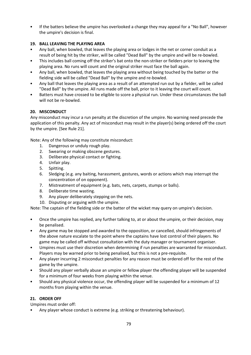• If the batters believe the umpire has overlooked a change they may appeal for a "No Ball", however the umpire's decision is final.

# **19. BALL LEAVING THE PLAYING AREA**

- Any ball, when bowled, that leaves the playing area or lodges in the net or corner conduit as a result of being hit by the striker, will be called "Dead Ball" by the umpire and will be re-bowled.
- This includes ball coming off the striker's bat onto the non-striker or fielders prior to leaving the playing area. No runs will count and the original striker must face the ball again.
- Any ball, when bowled, that leaves the playing area without being touched by the batter or the fielding side will be called "Dead Ball" by the umpire and re-bowled.
- Any ball that leaves the playing area as a result of an attempted run out by a fielder, will be called "Dead Ball" by the umpire. All runs made off the ball, prior to it leaving the court will count.
- Batters must have crossed to be eligible to score a physical run. Under these circumstances the ball will not be re-bowled.

# **20. MISCONDUCT**

Any misconduct may incur a run penalty at the discretion of the umpire. No warning need precede the application of this penalty. Any act of misconduct may result in the player(s) being ordered off the court by the umpire. [See Rule 21].

Note: Any of the following may constitute misconduct:

- 1. Dangerous or unduly rough play.
- 2. Swearing or making obscene gestures.
- 3. Deliberate physical contact or fighting.
- 4. Unfair play.
- 5. Spitting.
- 6. Sledging (e.g. any baiting, harassment, gestures, words or actions which may interrupt the concentration of on opponent).
- 7. Mistreatment of equipment (e.g. bats, nets, carpets, stumps or balls).
- 8. Deliberate time wasting.
- 9. Any player deliberately stepping on the nets.
- 10. Disputing or arguing with the umpire.

Note: The captain of the fielding side or the batter of the wicket may query on umpire's decision.

- Once the umpire has replied, any further talking to, at or about the umpire, or their decision, may be penalised.
- Any game may be stopped and awarded to the opposition, or cancelled, should infringements of the above nature escalate to the point where the captains have lost control of their players. No game may be called off without consultation with the duty manager or tournament organiser.
- Umpires must use their discretion when determining if run penalties are warranted for misconduct. Players may be warned prior to being penalised, but this is not a pre-requisite.
- Any player incurring 2 misconduct penalties for any reason must be ordered off for the rest of the game by the umpire.
- Should any player verbally abuse an umpire or fellow player the offending player will be suspended for a minimum of four weeks from playing within the venue.
- Should any physical violence occur, the offending player will be suspended for a minimum of 12 months from playing within the venue.

# **21. ORDER OFF**

Umpires must order off:

• Any player whose conduct is extreme (e.g. striking or threatening behaviour).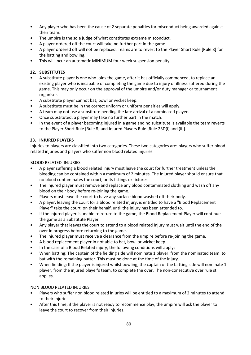- Any player who has been the cause of 2 separate penalties for misconduct being awarded against their team.
- The umpire is the sole judge of what constitutes extreme misconduct.
- A player ordered off the court will take no further part in the game.
- A player ordered off will not be replaced. Teams are to revert to the Player Short Rule [Rule 8] for the batting and bowling.
- This will incur an automatic MINIMUM four week suspension penalty.

# **22. SUBSTITUTES**

- A substitute player is one who joins the game, after it has officially commenced, to replace an existing player who is incapable of completing the game due to injury or illness suffered during the game. This may only occur on the approval of the umpire and/or duty manager or tournament organiser.
- A substitute player cannot bat, bowl or wicket keep.
- A substitute must be in the correct uniform or uniform penalties will apply.
- A team may not use a substitute pending the late arrival of a nominated player.
- Once substituted, a player may take no further part in the match.
- In the event of a player becoming injured in a game and no substitute is available the team reverts to the Player Short Rule [Rule 8] and Injured Players Rule [Rule 23D(i) and (ii)].

# **23. INJURED PLAYERS**

Injuries to players are classified into two categories. These two categories are: players who suffer blood related injuries and players who suffer non blood related injuries.

BLOOD RELATED INJURIES

- A player suffering a blood related injury must leave the court for further treatment unless the bleeding can be contained within a maximum of 2 minutes. The injured player should ensure that no blood contaminates the court, or its fittings or fixtures.
- The injured player must remove and replace any blood contaminated clothing and wash off any blood on their body before re-joining the game.
- Players must leave the court to have any surface blood washed off their body.
- A player, leaving the court for a blood related injury, is entitled to have a "Blood Replacement Player" take the court, on their behalf, until the injury has been attended to.
- If the injured player is unable to return to the game, the Blood Replacement Player will continue the game as a Substitute Player.
- Any player that leaves the court to attend to a blood related injury must wait until the end of the over in progress before returning to the game.
- The injured player must receive a clearance from the umpire before re-joining the game.
- A blood replacement player in not able to bat, bowl or wicket keep.
- In the case of a Blood Related injury, the following conditions will apply:
- When batting: The captain of the fielding side will nominate 1 player, from the nominated team, to bat with the remaining batter. This must be done at the time of the injury.
- When fielding: If the player is injured whilst bowling, the captain of the batting side will nominate 1 player, from the injured player's team, to complete the over. The non-consecutive over rule still applies.

# NON BLOOD RELATED INJURIES

- Players who suffer non blood related injuries will be entitled to a maximum of 2 minutes to attend to their injuries.
- After this time, if the player is not ready to recommence play, the umpire will ask the player to leave the court to recover from their injuries.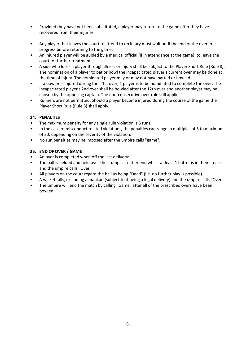- Provided they have not been substituted, a player may return to the game after they have recovered from their injuries.
- Any player that leaves the court to attend to on injury must wait until the end of the over in progress before returning to the game.
- An injured player will be guided by a medical official (if in attendance at the game), to leave the court for further treatment.
- A side who loses a player through illness or injury shall be subject to the Player Short Rule [Rule 8]. The nomination of a player to bat or bowl the incapacitated player's current over may be done at the time of injury. The nominated player may or may not have batted or bowled.
- If a bowler is injured during their 1st over, 1 player is to be nominated to complete the over. The incapacitated player's 2nd over shall be bowled after the 12th over and another player may be chosen by the opposing captain. The non-consecutive over rule still applies.
- Runners are not permitted. Should a player become injured during the course of the game the Player Short Rule (Rule 8) shall apply.

# **24. PENALTIES**

- The maximum penalty for any single rule violation is 5 runs.
- In the case of misconduct related violations, the penalties can range in multiples of 5 to maximum of 20, depending on the severity of the violation.
- No run penalties may be imposed after the umpire calls "game".

# **25. END OF OVER / GAME**

- An over is completed when off the last delivery:
- The ball is fielded and held over the stumps at either end whilst at least 1 batter is in their crease and the umpire calls "Over".
- All players on the court regard the ball as being "Dead" (i.e. no further play is possible).
- A wicket falls, excluding a mankad (subject to it being a legal delivery) and the umpire calls "Over".
- The umpire will end the match by calling "Game" after all of the prescribed overs have been bowled.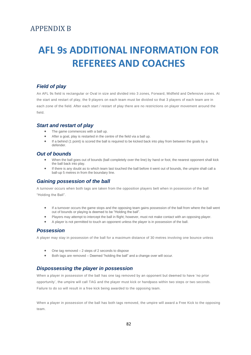# APPENDIX B

# **AFL 9s ADDITIONAL INFORMATION FOR REFEREES AND COACHES**

# *Field of play*

An AFL 9s field is rectangular or Oval in size and divided into 3 zones, Forward, Midfield and Defensive zones. At the start and restart of play, the 9 players on each team must be divided so that 3 players of each team are in each zone of the field. After each start / restart of play there are no restrictions on player movement around the field.

#### *Start and restart of play*

- The game commences with a ball up.
- After a goal, play is restarted in the centre of the field via a ball up.
- If a behind (1 point) is scored the ball is required to be kicked back into play from between the goals by a defender.

#### *Out of bounds*

- When the ball goes out of bounds (ball completely over the line) by hand or foot, the nearest opponent shall kick the ball back into play.
- If there is any doubt as to which team last touched the ball before it went out of bounds, the umpire shall call a ball-up 5 metres in from the boundary line.

#### *Gaining possession of the ball*

A turnover occurs when both tags are taken from the opposition players belt when in possession of the ball "Holding the Ball".

- If a turnover occurs the game stops and the opposing team gains possession of the ball from where the ball went out of bounds or playing is deemed to be "Holding the ball".
	- Players may attempt to intercept the ball in flight; however, must not make contact with an opposing player.
	- A player is not permitted to touch an opponent unless the player is in possession of the ball.

#### *Possession*

A player may stay in possession of the ball for a maximum distance of 30 metres involving one bounce unless

- One tag removed  $-2$  steps of 2 seconds to dispose
- Both tags are removed Deemed "holding the ball" and a change over will occur.

# *Dispossessing the player in possession*

When a player in possession of the ball has one tag removed by an opponent but deemed to have 'no prior opportunity', the umpire will call TAG and the player must kick or handpass within two steps or two seconds. Failure to do so will result in a free kick being awarded to the opposing team.

When a player in possession of the ball has both tags removed, the umpire will award a Free Kick to the opposing team.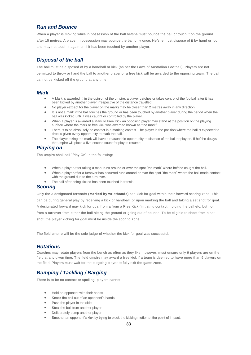#### *Run and Bounce*

When a player is moving while in possession of the ball he/she must bounce the ball or touch it on the ground after 15 metres. A player in possession may bounce the ball only once. He/she must dispose of it by hand or foot and may not touch it again until it has been touched by another player.

# *Disposal of the ball*

The ball must be disposed of by a handball or kick (as per the Laws of Australian Football). Players are not permitted to throw or hand the ball to another player or a free kick will be awarded to the opposing team. The ball cannot be kicked off the ground at any time.

#### *Mark*

- A Mark is awarded if, in the opinion of the umpire, a player catches or takes control of the football after it has been kicked by another player irrespective of the distance travelled.
- No player (except for the player on the mark) may be closer than 2 metres away in any direction.
- It is not a mark if the ball touches the ground or has been touched by another player during the period when the ball was kicked until it was caught or controlled by the player.
- When a player is awarded a Mark or Free Kick an opposing player may stand at the position on the playing surface where the mark or free kick was awarded known as "the mark"
- There is to be absolutely no contact in a marking contest. The player in the position where the ball is expected to drop is given every opportunity to mark the ball.
- The player taking the mark will have a reasonable opportunity to dispose of the ball or play on. If he/she delays the umpire will place a five-second count for play to resume.

#### *Playing on*

The umpire shall call "Play On" in the following:

- When a player after taking a mark runs around or over the spot "the mark" where he/she caught the ball.
- When a player after a turnover has occurred runs around or over the spot "the mark" where the ball made contact with the ground due to the turn over.
- The ball after being kicked has been touched in transit.

# *Scoring*

Only the 3 designated forwards **(Marked by wristbands)** can kick for goal within their forward scoring zone. This can be during general play by receiving a kick or handball; or upon marking the ball and taking a set shot for goal. A designated forward may kick for goal from a from a Free Kick (initiating contact, holding the ball etc. but not from a turnover from either the ball hitting the ground or going out of bounds. To be eligible to shoot from a set shot, the player kicking for goal must be inside the scoring zone.

The field umpire will be the sole judge of whether the kick for goal was successful.

#### *Rotations*

Coaches may rotate players from the bench as often as they like; however, must ensure only 9 players are on the field at any given time. The field umpire may award a free kick if a team is deemed to have more than 9 players on the field. Players must wait for the outgoing player to fully exit the game zone.

# *Bumping / Tackling / Barging*

There is to be no contact or spoiling, players cannot:

- Hold an opponent with their hands
- Knock the ball out of an opponent's hands
- Push the player in the side
- Steal the ball from another player
- Deliberately bump another player
- Smother an opponent's kick by trying to block the kicking motion at the point of impact.